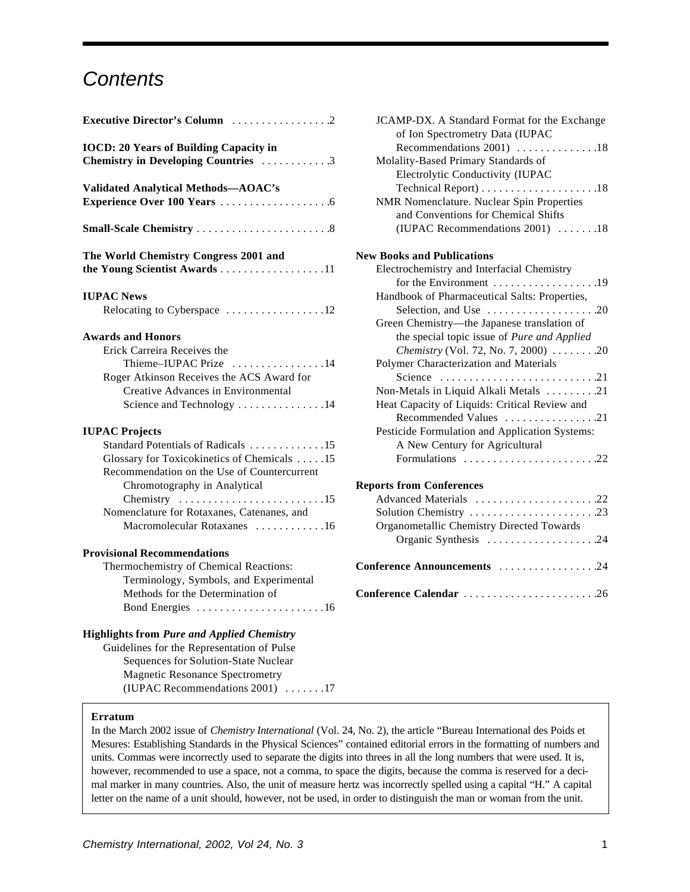# *Contents*

| <b>Executive Director's Column</b> 2                                                                                                                                                                                                                                   |  |
|------------------------------------------------------------------------------------------------------------------------------------------------------------------------------------------------------------------------------------------------------------------------|--|
| <b>IOCD: 20 Years of Building Capacity in</b><br>Chemistry in Developing Countries 3                                                                                                                                                                                   |  |
| <b>Validated Analytical Methods-AOAC's</b>                                                                                                                                                                                                                             |  |
|                                                                                                                                                                                                                                                                        |  |
| The World Chemistry Congress 2001 and<br>the Young Scientist Awards 11                                                                                                                                                                                                 |  |
| <b>IUPAC News</b><br>Relocating to Cyberspace 12                                                                                                                                                                                                                       |  |
| <b>Awards and Honors</b><br>Erick Carreira Receives the<br>Thieme-IUPAC Prize 14<br>Roger Atkinson Receives the ACS Award for<br>Creative Advances in Environmental<br>Science and Technology 14                                                                       |  |
| <b>IUPAC Projects</b><br>Standard Potentials of Radicals 15<br>Glossary for Toxicokinetics of Chemicals 15<br>Recommendation on the Use of Countercurrent<br>Chromotography in Analytical<br>Nomenclature for Rotaxanes, Catenanes, and<br>Macromolecular Rotaxanes 16 |  |
| <b>Provisional Recommendations</b><br>Thermochemistry of Chemical Reactions:<br>Terminology, Symbols, and Experimental<br>Methods for the Determination of<br>Bond Energies 16                                                                                         |  |
| <b>Highlights from Pure and Applied Chemistry</b>                                                                                                                                                                                                                      |  |

| Recommendations $2001$ ) 18                                                 |
|-----------------------------------------------------------------------------|
| Molality-Based Primary Standards of                                         |
| Electrolytic Conductivity (IUPAC                                            |
|                                                                             |
| NMR Nomenclature. Nuclear Spin Properties                                   |
| and Conventions for Chemical Shifts                                         |
| (IUPAC Recommendations 2001) 18                                             |
| New Books and Publications                                                  |
| Electrochemistry and Interfacial Chemistry                                  |
| for the Environment $\dots\dots\dots\dots\dots\dots$                        |
| Handbook of Pharmaceutical Salts: Properties,                               |
| Selection, and Use 20                                                       |
| Green Chemistry-the Japanese translation of                                 |
| the special topic issue of Pure and Applied                                 |
| <i>Chemistry</i> (Vol. 72, No. 7, 2000) 20                                  |
| Polymer Characterization and Materials                                      |
| Science $\ldots \ldots \ldots \ldots \ldots \ldots \ldots \ldots \ldots 21$ |
| Non-Metals in Liquid Alkali Metals 21                                       |
| Heat Capacity of Liquids: Critical Review and                               |
| Recommended Values 21                                                       |
| Pesticide Formulation and Application Systems:                              |
| A New Century for Agricultural                                              |
| Formulations 22                                                             |
| <b>Reports from Conferences</b>                                             |
| <b>Advanced Materials</b>                                                   |
| $\mathcal{L}_{\text{elution}}$ Chamistus (12.12)                            |

JCAMP-DX. A Standard Format for the Exchange of Ion Spectrometry Data (IUPAC

# Solution Chemistry . . . . . . . . . . . . . . . . . . . . . .23 Organometallic Chemistry Directed Towards Organic Synthesis . . . . . . . . . . . . . . . . . . .24 **Conference Announcements** . . . . . . . . . . . . . . . . .24 **Conference Calendar** . . . . . . . . . . . . . . . . . . . . . . .26

#### Guidelines for the Representation of Pulse

Sequences for Solution-State Nuclear Magnetic Resonance Spectrometry (IUPAC Recommendations 2001) . . . . . . .17

#### **Erratum**

In the March 2002 issue of *Chemistry International* (Vol. 24, No. 2), the article "Bureau International des Poids et Mesures: Establishing Standards in the Physical Sciences" contained editorial errors in the formatting of numbers and units. Commas were incorrectly used to separate the digits into threes in all the long numbers that were used. It is, however, recommended to use a space, not a comma, to space the digits, because the comma is reserved for a decimal marker in many countries. Also, the unit of measure hertz was incorrectly spelled using a capital "H." A capital letter on the name of a unit should, however, not be used, in order to distinguish the man or woman from the unit.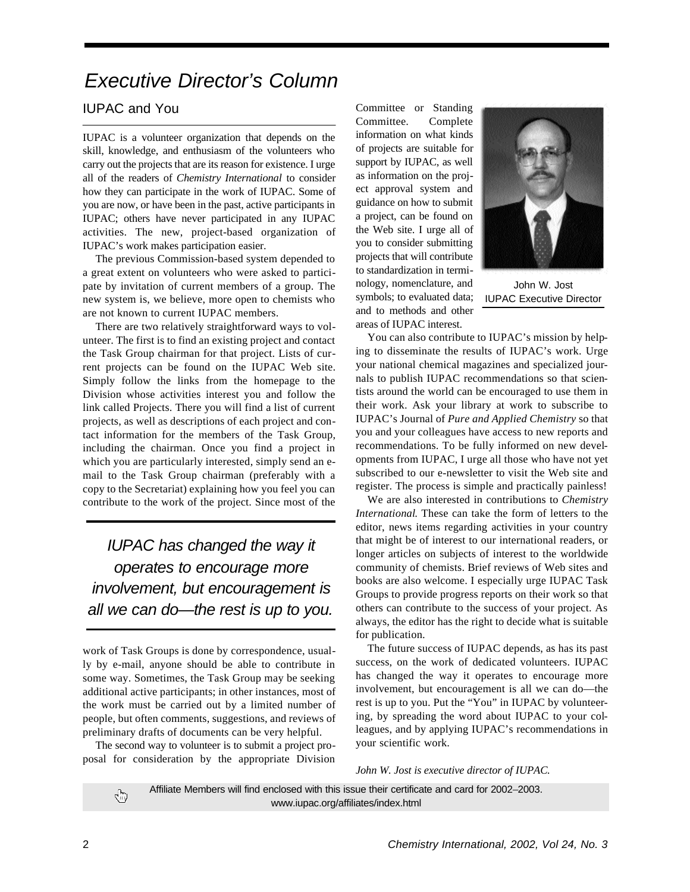# *Executive Director's Column*

# IUPAC and You

IUPAC is a volunteer organization that depends on the skill, knowledge, and enthusiasm of the volunteers who carry out the projects that are its reason for existence. I urge all of the readers of *Chemistry International* to consider how they can participate in the work of IUPAC. Some of you are now, or have been in the past, active participants in IUPAC; others have never participated in any IUPAC activities. The new, project-based organization of IUPAC's work makes participation easier.

The previous Commission-based system depended to a great extent on volunteers who were asked to participate by invitation of current members of a group. The new system is, we believe, more open to chemists who are not known to current IUPAC members.

There are two relatively straightforward ways to volunteer. The first is to find an existing project and contact the Task Group chairman for that project. Lists of current projects can be found on the IUPAC Web site. Simply follow the links from the homepage to the Division whose activities interest you and follow the link called Projects. There you will find a list of current projects, as well as descriptions of each project and contact information for the members of the Task Group, including the chairman. Once you find a project in which you are particularly interested, simply send an email to the Task Group chairman (preferably with a copy to the Secretariat) explaining how you feel you can contribute to the work of the project. Since most of the

# *IUPAC has changed the way it operates to encourage more involvement, but encouragement is all we can do—the rest is up to you.*

work of Task Groups is done by correspondence, usually by e-mail, anyone should be able to contribute in some way. Sometimes, the Task Group may be seeking additional active participants; in other instances, most of the work must be carried out by a limited number of people, but often comments, suggestions, and reviews of preliminary drafts of documents can be very helpful.

The second way to volunteer is to submit a project proposal for consideration by the appropriate Division

Committee or Standing Committee. Complete information on what kinds of projects are suitable for support by IUPAC, as well as information on the project approval system and guidance on how to submit a project, can be found on the Web site. I urge all of you to consider submitting projects that will contribute to standardization in terminology, nomenclature, and symbols; to evaluated data; and to methods and other areas of IUPAC interest.



John W. Jost IUPAC Executive Director

You can also contribute to IUPAC's mission by helping to disseminate the results of IUPAC's work. Urge your national chemical magazines and specialized journals to publish IUPAC recommendations so that scientists around the world can be encouraged to use them in their work. Ask your library at work to subscribe to IUPAC's Journal of *Pure and Applied Chemistry* so that you and your colleagues have access to new reports and recommendations. To be fully informed on new developments from IUPAC, I urge all those who have not yet subscribed to our e-newsletter to visit the Web site and register. The process is simple and practically painless!

We are also interested in contributions to *Chemistry International*. These can take the form of letters to the editor, news items regarding activities in your country that might be of interest to our international readers, or longer articles on subjects of interest to the worldwide community of chemists. Brief reviews of Web sites and books are also welcome. I especially urge IUPAC Task Groups to provide progress reports on their work so that others can contribute to the success of your project. As always, the editor has the right to decide what is suitable for publication.

The future success of IUPAC depends, as has its past success, on the work of dedicated volunteers. IUPAC has changed the way it operates to encourage more involvement, but encouragement is all we can do—the rest is up to you. Put the "You" in IUPAC by volunteering, by spreading the word about IUPAC to your colleagues, and by applying IUPAC's recommendations in your scientific work.

*John W. Jost is executive director of IUPAC.*

Affiliate Members will find enclosed with this issue their certificate and card for 2002–2003. www.iupac.org/affiliates/index.html

رس<br>س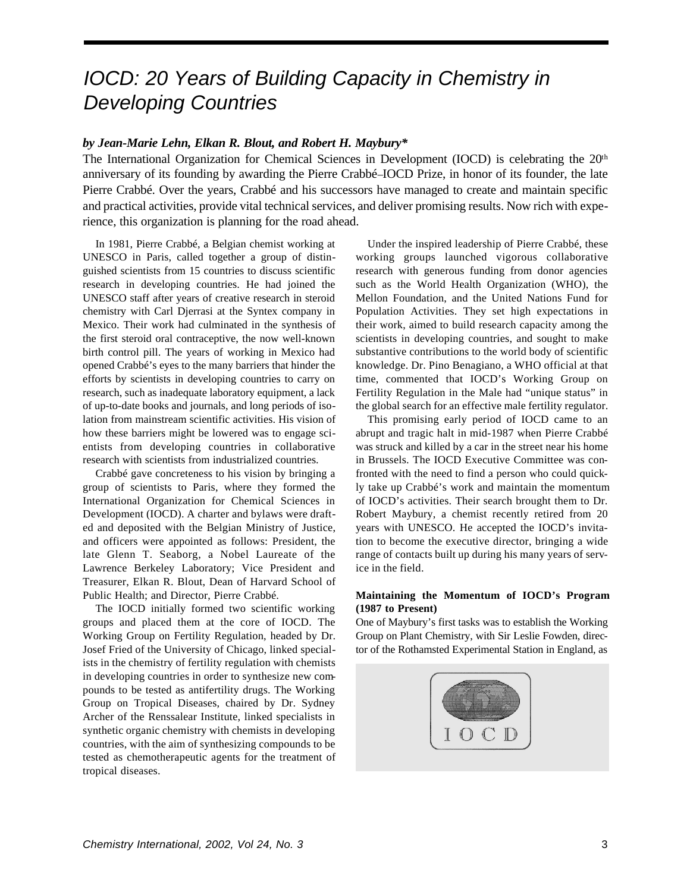# *IOCD: 20 Years of Building Capacity in Chemistry in Developing Countries*

# *by Jean-Marie Lehn, Elkan R. Blout, and Robert H. Maybury\**

The International Organization for Chemical Sciences in Development (IOCD) is celebrating the 20<sup>th</sup> anniversary of its founding by awarding the Pierre Crabbé–IOCD Prize, in honor of its founder, the late Pierre Crabbé. Over the years, Crabbé and his successors have managed to create and maintain specific and practical activities, provide vital technical services, and deliver promising results. Now rich with experience, this organization is planning for the road ahead.

In 1981, Pierre Crabbé, a Belgian chemist working at UNESCO in Paris, called together a group of distinguished scientists from 15 countries to discuss scientific research in developing countries. He had joined the UNESCO staff after years of creative research in steroid chemistry with Carl Djerrasi at the Syntex company in Mexico. Their work had culminated in the synthesis of the first steroid oral contraceptive, the now well-known birth control pill. The years of working in Mexico had opened Crabbé's eyes to the many barriers that hinder the efforts by scientists in developing countries to carry on research, such as inadequate laboratory equipment, a lack of up-to-date books and journals, and long periods of isolation from mainstream scientific activities. His vision of how these barriers might be lowered was to engage scientists from developing countries in collaborative research with scientists from industrialized countries.

Crabbé gave concreteness to his vision by bringing a group of scientists to Paris, where they formed the International Organization for Chemical Sciences in Development (IOCD). A charter and bylaws were drafted and deposited with the Belgian Ministry of Justice, and officers were appointed as follows: President, the late Glenn T. Seaborg, a Nobel Laureate of the Lawrence Berkeley Laboratory; Vice President and Treasurer, Elkan R. Blout, Dean of Harvard School of Public Health; and Director, Pierre Crabbé.

The IOCD initially formed two scientific working groups and placed them at the core of IOCD. The Working Group on Fertility Regulation, headed by Dr. Josef Fried of the University of Chicago, linked specialists in the chemistry of fertility regulation with chemists in developing countries in order to synthesize new compounds to be tested as antifertility drugs. The Working Group on Tropical Diseases, chaired by Dr. Sydney Archer of the Renssalear Institute, linked specialists in synthetic organic chemistry with chemists in developing countries, with the aim of synthesizing compounds to be tested as chemotherapeutic agents for the treatment of tropical diseases.

Under the inspired leadership of Pierre Crabbé, these working groups launched vigorous collaborative research with generous funding from donor agencies such as the World Health Organization (WHO), the Mellon Foundation, and the United Nations Fund for Population Activities. They set high expectations in their work, aimed to build research capacity among the scientists in developing countries, and sought to make substantive contributions to the world body of scientific knowledge. Dr. Pino Benagiano, a WHO official at that time, commented that IOCD's Working Group on Fertility Regulation in the Male had "unique status" in the global search for an effective male fertility regulator.

This promising early period of IOCD came to an abrupt and tragic halt in mid-1987 when Pierre Crabbé was struck and killed by a car in the street near his home in Brussels. The IOCD Executive Committee was confronted with the need to find a person who could quickly take up Crabbé's work and maintain the momentum of IOCD's activities. Their search brought them to Dr. Robert Maybury, a chemist recently retired from 20 years with UNESCO. He accepted the IOCD's invitation to become the executive director, bringing a wide range of contacts built up during his many years of service in the field.

## **Maintaining the Momentum of IOCD's Program (1987 to Present)**

One of Maybury's first tasks was to establish the Working Group on Plant Chemistry, with Sir Leslie Fowden, director of the Rothamsted Experimental Station in England, as

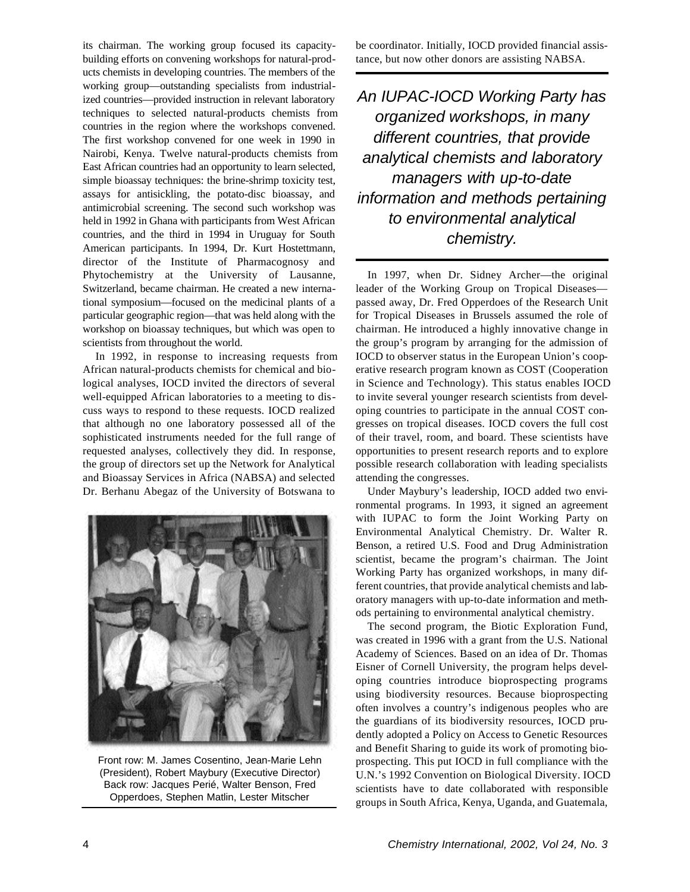its chairman. The working group focused its capacitybuilding efforts on convening workshops for natural-products chemists in developing countries. The members of the working group—outstanding specialists from industrialized countries—provided instruction in relevant laboratory techniques to selected natural-products chemists from countries in the region where the workshops convened. The first workshop convened for one week in 1990 in Nairobi, Kenya. Twelve natural-products chemists from East African countries had an opportunity to learn selected, simple bioassay techniques: the brine-shrimp toxicity test, assays for antisickling, the potato-disc bioassay, and antimicrobial screening. The second such workshop was held in 1992 in Ghana with participants from West African countries, and the third in 1994 in Uruguay for South American participants. In 1994, Dr. Kurt Hostettmann, director of the Institute of Pharmacognosy and Phytochemistry at the University of Lausanne, Switzerland, became chairman. He created a new international symposium—focused on the medicinal plants of a particular geographic region—that was held along with the workshop on bioassay techniques, but which was open to scientists from throughout the world.

In 1992, in response to increasing requests from African natural-products chemists for chemical and biological analyses, IOCD invited the directors of several well-equipped African laboratories to a meeting to discuss ways to respond to these requests. IOCD realized that although no one laboratory possessed all of the sophisticated instruments needed for the full range of requested analyses, collectively they did. In response, the group of directors set up the Network for Analytical and Bioassay Services in Africa (NABSA) and selected Dr. Berhanu Abegaz of the University of Botswana to



Front row: M. James Cosentino, Jean-Marie Lehn (President), Robert Maybury (Executive Director) Back row: Jacques Perié, Walter Benson, Fred Opperdoes, Stephen Matlin, Lester Mitscher

be coordinator. Initially, IOCD provided financial assistance, but now other donors are assisting NABSA.

*An IUPAC-IOCD Working Party has organized workshops, in many different countries, that provide analytical chemists and laboratory managers with up-to-date information and methods pertaining to environmental analytical chemistry.*

In 1997, when Dr. Sidney Archer—the original leader of the Working Group on Tropical Diseases passed away, Dr. Fred Opperdoes of the Research Unit for Tropical Diseases in Brussels assumed the role of chairman. He introduced a highly innovative change in the group's program by arranging for the admission of IOCD to observer status in the European Union's cooperative research program known as COST (Cooperation in Science and Technology). This status enables IOCD to invite several younger research scientists from developing countries to participate in the annual COST congresses on tropical diseases. IOCD covers the full cost of their travel, room, and board. These scientists have opportunities to present research reports and to explore possible research collaboration with leading specialists attending the congresses.

Under Maybury's leadership, IOCD added two environmental programs. In 1993, it signed an agreement with IUPAC to form the Joint Working Party on Environmental Analytical Chemistry. Dr. Walter R. Benson, a retired U.S. Food and Drug Administration scientist, became the program's chairman. The Joint Working Party has organized workshops, in many different countries, that provide analytical chemists and laboratory managers with up-to-date information and methods pertaining to environmental analytical chemistry.

The second program, the Biotic Exploration Fund, was created in 1996 with a grant from the U.S. National Academy of Sciences. Based on an idea of Dr. Thomas Eisner of Cornell University, the program helps developing countries introduce bioprospecting programs using biodiversity resources. Because bioprospecting often involves a country's indigenous peoples who are the guardians of its biodiversity resources, IOCD prudently adopted a Policy on Access to Genetic Resources and Benefit Sharing to guide its work of promoting bioprospecting. This put IOCD in full compliance with the U.N.'s 1992 Convention on Biological Diversity. IOCD scientists have to date collaborated with responsible groups in South Africa, Kenya, Uganda, and Guatemala,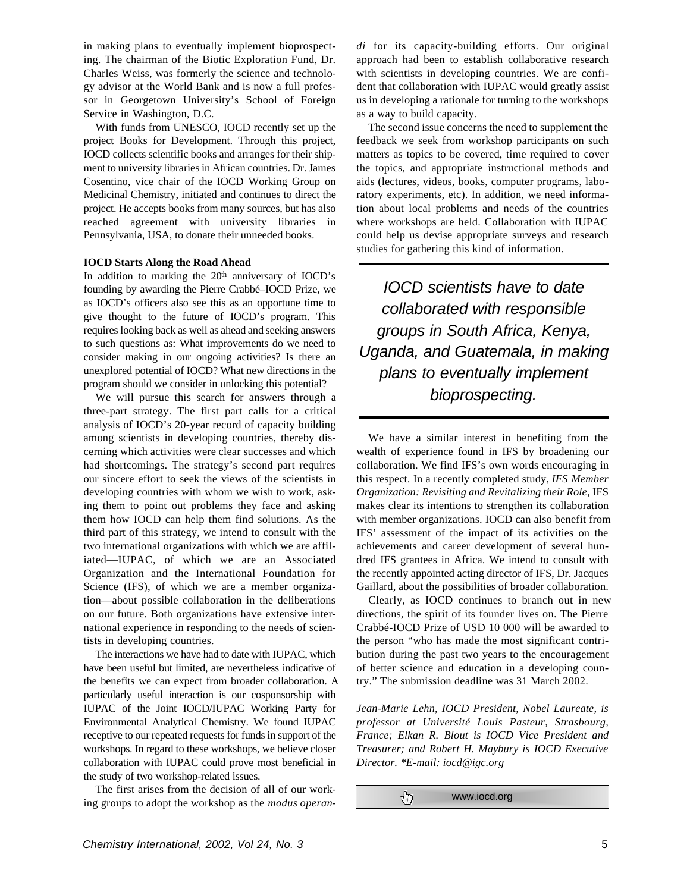in making plans to eventually implement bioprospecting. The chairman of the Biotic Exploration Fund, Dr. Charles Weiss, was formerly the science and technology advisor at the World Bank and is now a full professor in Georgetown University's School of Foreign Service in Washington, D.C.

With funds from UNESCO, IOCD recently set up the project Books for Development. Through this project, IOCD collects scientific books and arranges for their shipment to university libraries in African countries. Dr. James Cosentino, vice chair of the IOCD Working Group on Medicinal Chemistry, initiated and continues to direct the project. He accepts books from many sources, but has also reached agreement with university libraries in Pennsylvania, USA, to donate their unneeded books.

#### **IOCD Starts Along the Road Ahead**

In addition to marking the  $20<sup>th</sup>$  anniversary of IOCD's founding by awarding the Pierre Crabbé–IOCD Prize, we as IOCD's officers also see this as an opportune time to give thought to the future of IOCD's program. This requires looking back as well as ahead and seeking answers to such questions as: What improvements do we need to consider making in our ongoing activities? Is there an unexplored potential of IOCD? What new directions in the program should we consider in unlocking this potential?

We will pursue this search for answers through a three-part strategy. The first part calls for a critical analysis of IOCD's 20-year record of capacity building among scientists in developing countries, thereby discerning which activities were clear successes and which had shortcomings. The strategy's second part requires our sincere effort to seek the views of the scientists in developing countries with whom we wish to work, asking them to point out problems they face and asking them how IOCD can help them find solutions. As the third part of this strategy, we intend to consult with the two international organizations with which we are affiliated—IUPAC, of which we are an Associated Organization and the International Foundation for Science (IFS), of which we are a member organization—about possible collaboration in the deliberations on our future. Both organizations have extensive international experience in responding to the needs of scientists in developing countries.

The interactions we have had to date with IUPAC, which have been useful but limited, are nevertheless indicative of the benefits we can expect from broader collaboration. A particularly useful interaction is our cosponsorship with IUPAC of the Joint IOCD/IUPAC Working Party for Environmental Analytical Chemistry. We found IUPAC receptive to our repeated requests for funds in support of the workshops. In regard to these workshops, we believe closer collaboration with IUPAC could prove most beneficial in the study of two workshop-related issues.

The first arises from the decision of all of our working groups to adopt the workshop as the *modus operan-* *di* for its capacity-building efforts. Our original approach had been to establish collaborative research with scientists in developing countries. We are confident that collaboration with IUPAC would greatly assist us in developing a rationale for turning to the workshops as a way to build capacity.

The second issue concerns the need to supplement the feedback we seek from workshop participants on such matters as topics to be covered, time required to cover the topics, and appropriate instructional methods and aids (lectures, videos, books, computer programs, laboratory experiments, etc). In addition, we need information about local problems and needs of the countries where workshops are held. Collaboration with IUPAC could help us devise appropriate surveys and research studies for gathering this kind of information.

*IOCD scientists have to date collaborated with responsible groups in South Africa, Kenya, Uganda, and Guatemala, in making plans to eventually implement bioprospecting.* 

We have a similar interest in benefiting from the wealth of experience found in IFS by broadening our collaboration. We find IFS's own words encouraging in this respect. In a recently completed study, *IFS Member Organization: Revisiting and Revitalizing their Role*, IFS makes clear its intentions to strengthen its collaboration with member organizations. IOCD can also benefit from IFS' assessment of the impact of its activities on the achievements and career development of several hundred IFS grantees in Africa. We intend to consult with the recently appointed acting director of IFS, Dr. Jacques Gaillard, about the possibilities of broader collaboration.

Clearly, as IOCD continues to branch out in new directions, the spirit of its founder lives on. The Pierre Crabbé-IOCD Prize of USD 10 000 will be awarded to the person "who has made the most significant contribution during the past two years to the encouragement of better science and education in a developing country." The submission deadline was 31 March 2002.

*Jean-Marie Lehn, IOCD President, Nobel Laureate, is professor at Université Louis Pasteur, Strasbourg, France; Elkan R. Blout is IOCD Vice President and Treasurer; and Robert H. Maybury is IOCD Executive Director. \*E-mail: iocd@igc.org*

> र्जु www.iocd.org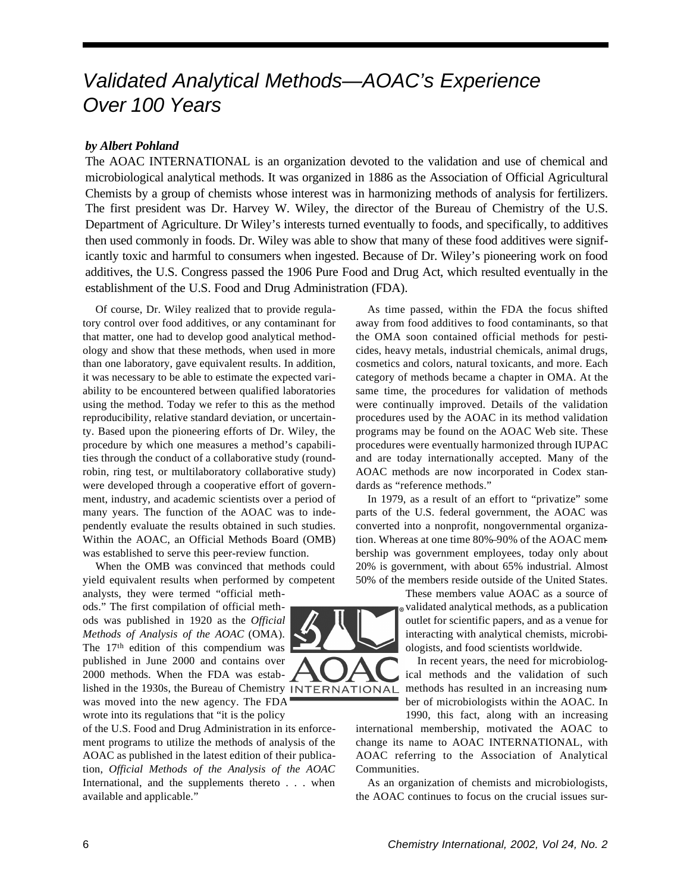# *Validated Analytical Methods—AOAC's Experience Over 100 Years*

# *by Albert Pohland*

The AOAC INTERNATIONAL is an organization devoted to the validation and use of chemical and microbiological analytical methods. It was organized in 1886 as the Association of Official Agricultural Chemists by a group of chemists whose interest was in harmonizing methods of analysis for fertilizers. The first president was Dr. Harvey W. Wiley, the director of the Bureau of Chemistry of the U.S. Department of Agriculture. Dr Wiley's interests turned eventually to foods, and specifically, to additives then used commonly in foods. Dr. Wiley was able to show that many of these food additives were significantly toxic and harmful to consumers when ingested. Because of Dr. Wiley's pioneering work on food additives, the U.S. Congress passed the 1906 Pure Food and Drug Act, which resulted eventually in the establishment of the U.S. Food and Drug Administration (FDA).

Of course, Dr. Wiley realized that to provide regulatory control over food additives, or any contaminant for that matter, one had to develop good analytical methodology and show that these methods, when used in more than one laboratory, gave equivalent results. In addition, it was necessary to be able to estimate the expected variability to be encountered between qualified laboratories using the method. Today we refer to this as the method reproducibility, relative standard deviation, or uncertainty. Based upon the pioneering efforts of Dr. Wiley, the procedure by which one measures a method's capabilities through the conduct of a collaborative study (roundrobin, ring test, or multilaboratory collaborative study) were developed through a cooperative effort of government, industry, and academic scientists over a period of many years. The function of the AOAC was to independently evaluate the results obtained in such studies. Within the AOAC, an Official Methods Board (OMB) was established to serve this peer-review function.

When the OMB was convinced that methods could yield equivalent results when performed by competent

analysts, they were termed "official methods." The first compilation of official methods was published in 1920 as the *Official Methods of Analysis of the AOAC* (OMA). The 17th edition of this compendium was published in June 2000 and contains over 2000 methods. When the FDA was established in the 1930s, the Bureau of Chemistry INTERNATIONAL was moved into the new agency. The FDA wrote into its regulations that "it is the policy

of the U.S. Food and Drug Administration in its enforcement programs to utilize the methods of analysis of the AOAC as published in the latest edition of their publication, *Official Methods of the Analysis of the AOAC* International, and the supplements thereto . . . when available and applicable."

As time passed, within the FDA the focus shifted away from food additives to food contaminants, so that the OMA soon contained official methods for pesticides, heavy metals, industrial chemicals, animal drugs, cosmetics and colors, natural toxicants, and more. Each category of methods became a chapter in OMA. At the same time, the procedures for validation of methods were continually improved. Details of the validation procedures used by the AOAC in its method validation programs may be found on the AOAC Web site. These procedures were eventually harmonized through IUPAC and are today internationally accepted. Many of the AOAC methods are now incorporated in Codex standards as "reference methods."

In 1979, as a result of an effort to "privatize" some parts of the U.S. federal government, the AOAC was converted into a nonprofit, nongovernmental organization. Whereas at one time 80%–90% of the AOAC membership was government employees, today only about 20% is government, with about 65% industrial. Almost 50% of the members reside outside of the United States.

> These members value AOAC as a source of validated analytical methods, as a publication outlet for scientific papers, and as a venue for interacting with analytical chemists, microbiologists, and food scientists worldwide.

> In recent years, the need for microbiological methods and the validation of such methods has resulted in an increasing number of microbiologists within the AOAC. In

1990, this fact, along with an increasing international membership, motivated the AOAC to change its name to AOAC INTERNATIONAL, with AOAC referring to the Association of Analytical Communities.

As an organization of chemists and microbiologists, the AOAC continues to focus on the crucial issues sur-

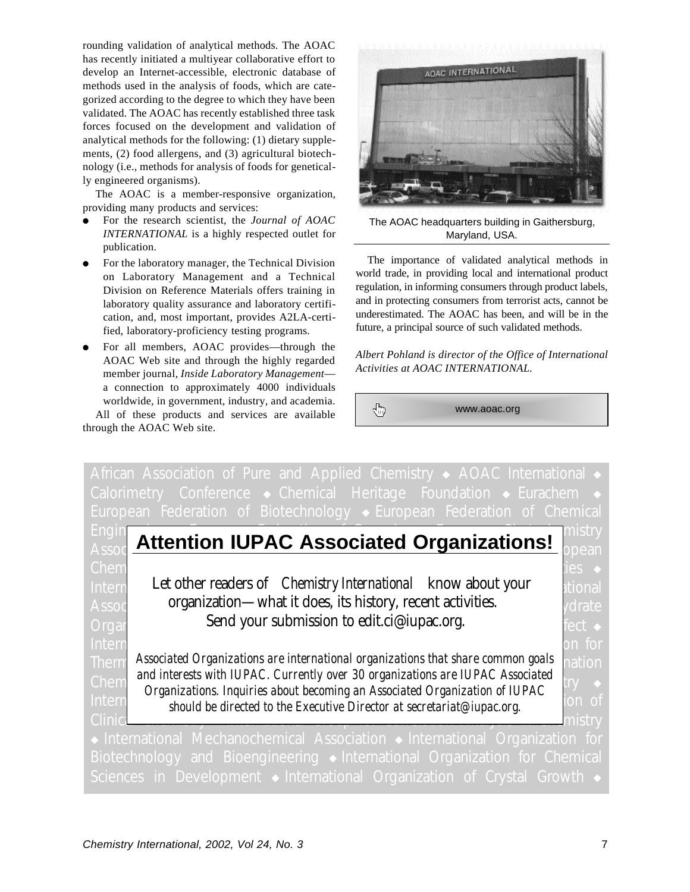rounding validation of analytical methods. The AOAC has recently initiated a multiyear collaborative effort to develop an Internet-accessible, electronic database of methods used in the analysis of foods, which are categorized according to the degree to which they have been validated. The AOAC has recently established three task forces focused on the development and validation of analytical methods for the following: (1) dietary supplements, (2) food allergens, and (3) agricultural biotechnology (i.e., methods for analysis of foods for genetically engineered organisms).

The AOAC is a member-responsive organization, providing many products and services:

- **•** For the research scientist, the *Journal of AOAC INTERNATIONAL* is a highly respected outlet for publication.
- $\bullet$  For the laboratory manager, the Technical Division on Laboratory Management and a Technical Division on Reference Materials offers training in laboratory quality assurance and laboratory certification, and, most important, provides A2LA-certified, laboratory-proficiency testing programs.
- For all members, AOAC provides—through the AOAC Web site and through the highly regarded member journal, *Inside Laboratory Management* a connection to approximately 4000 individuals worldwide, in government, industry, and academia.

All of these products and services are available through the AOAC Web site.



The AOAC headquarters building in Gaithersburg, Maryland, USA.

The importance of validated analytical methods in world trade, in providing local and international product regulation, in informing consumers through product labels, and in protecting consumers from terrorist acts, cannot be underestimated. The AOAC has been, and will be in the future, a principal source of such validated methods.

*Albert Pohland is director of the Office of International Activities at AOAC INTERNATIONAL.*

www.aoac.org



 $\epsilon_{\rm b}^{\rm b}$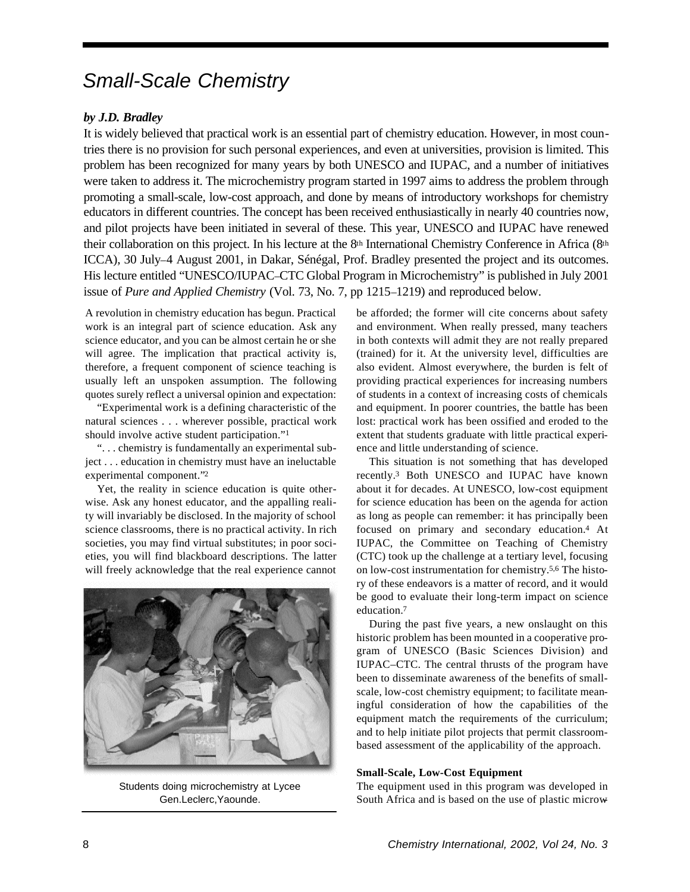# *Small-Scale Chemistry*

# *by J.D. Bradley*

It is widely believed that practical work is an essential part of chemistry education. However, in most countries there is no provision for such personal experiences, and even at universities, provision is limited. This problem has been recognized for many years by both UNESCO and IUPAC, and a number of initiatives were taken to address it. The microchemistry program started in 1997 aims to address the problem through promoting a small-scale, low-cost approach, and done by means of introductory workshops for chemistry educators in different countries. The concept has been received enthusiastically in nearly 40 countries now, and pilot projects have been initiated in several of these. This year, UNESCO and IUPAC have renewed their collaboration on this project. In his lecture at the 8<sup>th</sup> International Chemistry Conference in Africa (8<sup>th</sup>) ICCA), 30 July–4 August 2001, in Dakar, Sénégal, Prof. Bradley presented the project and its outcomes. His lecture entitled "UNESCO/IUPAC–CTC Global Program in Microchemistry" is published in July 2001 issue of *Pure and Applied Chemistry* (Vol. 73, No. 7, pp 1215–1219) and reproduced below.

A revolution in chemistry education has begun. Practical work is an integral part of science education. Ask any science educator, and you can be almost certain he or she will agree. The implication that practical activity is, therefore, a frequent component of science teaching is usually left an unspoken assumption. The following quotes surely reflect a universal opinion and expectation:

"Experimental work is a defining characteristic of the natural sciences . . . wherever possible, practical work should involve active student participation." 1

". . . chemistry is fundamentally an experimental subject . . . education in chemistry must have an ineluctable experimental component." 2

Yet, the reality in science education is quite otherwise. Ask any honest educator, and the appalling reality will invariably be disclosed. In the majority of school science classrooms, there is no practical activity. In rich societies, you may find virtual substitutes; in poor societies, you will find blackboard descriptions. The latter will freely acknowledge that the real experience cannot



Students doing microchemistry at Lycee Gen.Leclerc,Yaounde.

be afforded; the former will cite concerns about safety and environment. When really pressed, many teachers in both contexts will admit they are not really prepared (trained) for it. At the university level, difficulties are also evident. Almost everywhere, the burden is felt of providing practical experiences for increasing numbers of students in a context of increasing costs of chemicals and equipment. In poorer countries, the battle has been lost: practical work has been ossified and eroded to the extent that students graduate with little practical experience and little understanding of science.

This situation is not something that has developed recently. <sup>3</sup> Both UNESCO and IUPAC have known about it for decades. At UNESCO, low-cost equipment for science education has been on the agenda for action as long as people can remember: it has principally been focused on primary and secondary education. <sup>4</sup> At IUPAC, the Committee on Teaching of Chemistry (CTC) took up the challenge at a tertiary level, focusing on low-cost instrumentation for chemistry. 5,6 The history of these endeavors is a matter of record, and it would be good to evaluate their long-term impact on science education. 7

During the past five years, a new onslaught on this historic problem has been mounted in a cooperative program of UNESCO (Basic Sciences Division) and IUPAC–CTC. The central thrusts of the program have been to disseminate awareness of the benefits of smallscale, low-cost chemistry equipment; to facilitate meaningful consideration of how the capabilities of the equipment match the requirements of the curriculum; and to help initiate pilot projects that permit classroombased assessment of the applicability of the approach.

## **Small-Scale, Low-Cost Equipment**

The equipment used in this program was developed in South Africa and is based on the use of plastic microw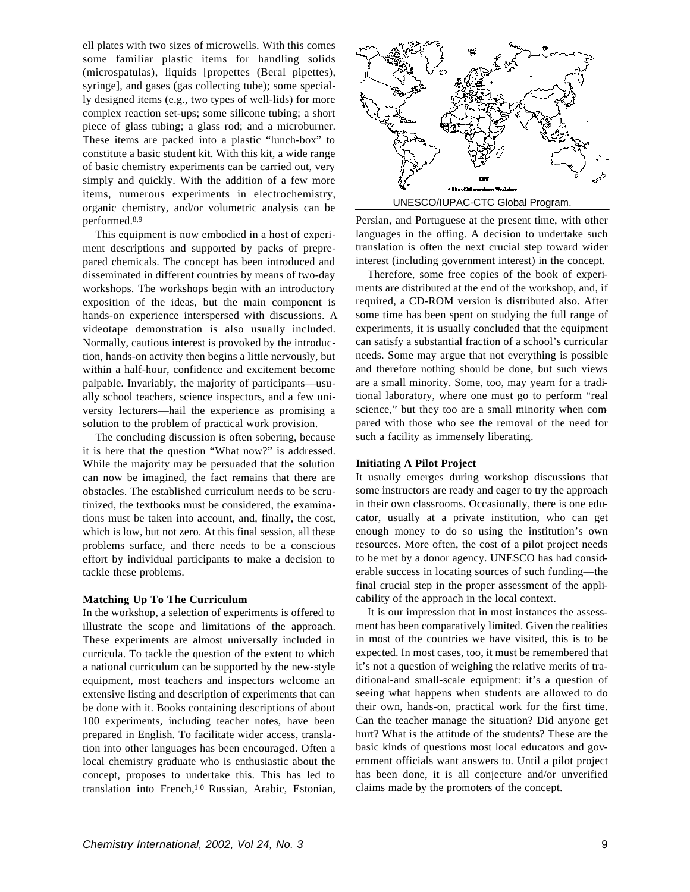ell plates with two sizes of microwells. With this comes some familiar plastic items for handling solids (microspatulas), liquids [propettes (Beral pipettes), syringe], and gases (gas collecting tube); some specially designed items (e.g., two types of well-lids) for more complex reaction set-ups; some silicone tubing; a short piece of glass tubing; a glass rod; and a microburner. These items are packed into a plastic "lunch-box" to constitute a basic student kit. With this kit, a wide range of basic chemistry experiments can be carried out, very simply and quickly. With the addition of a few more items, numerous experiments in electrochemistry, organic chemistry, and/or volumetric analysis can be performed. 8,9

This equipment is now embodied in a host of experiment descriptions and supported by packs of preprepared chemicals. The concept has been introduced and disseminated in different countries by means of two-day workshops. The workshops begin with an introductory exposition of the ideas, but the main component is hands-on experience interspersed with discussions. A videotape demonstration is also usually included. Normally, cautious interest is provoked by the introduction, hands-on activity then begins a little nervously, but within a half-hour, confidence and excitement become palpable. Invariably, the majority of participants—usually school teachers, science inspectors, and a few university lecturers—hail the experience as promising a solution to the problem of practical work provision.

The concluding discussion is often sobering, because it is here that the question "What now?" is addressed. While the majority may be persuaded that the solution can now be imagined, the fact remains that there are obstacles. The established curriculum needs to be scrutinized, the textbooks must be considered, the examinations must be taken into account, and, finally, the cost, which is low, but not zero. At this final session, all these problems surface, and there needs to be a conscious effort by individual participants to make a decision to tackle these problems.

#### **Matching Up To The Curriculum**

In the workshop, a selection of experiments is offered to illustrate the scope and limitations of the approach. These experiments are almost universally included in curricula. To tackle the question of the extent to which a national curriculum can be supported by the new-style equipment, most teachers and inspectors welcome an extensive listing and description of experiments that can be done with it. Books containing descriptions of about 100 experiments, including teacher notes, have been prepared in English. To facilitate wider access, translation into other languages has been encouraged. Often a local chemistry graduate who is enthusiastic about the concept, proposes to undertake this. This has led to translation into French,<sup>10</sup> Russian, Arabic, Estonian,



Persian, and Portuguese at the present time, with other languages in the offing. A decision to undertake such translation is often the next crucial step toward wider interest (including government interest) in the concept.

Therefore, some free copies of the book of experiments are distributed at the end of the workshop, and, if required, a CD-ROM version is distributed also. After some time has been spent on studying the full range of experiments, it is usually concluded that the equipment can satisfy a substantial fraction of a school's curricular needs. Some may argue that not everything is possible and therefore nothing should be done, but such views are a small minority. Some, too, may yearn for a traditional laboratory, where one must go to perform "real science," but they too are a small minority when compared with those who see the removal of the need for such a facility as immensely liberating.

#### **Initiating A Pilot Project**

It usually emerges during workshop discussions that some instructors are ready and eager to try the approach in their own classrooms. Occasionally, there is one educator, usually at a private institution, who can get enough money to do so using the institution's own resources. More often, the cost of a pilot project needs to be met by a donor agency. UNESCO has had considerable success in locating sources of such funding—the final crucial step in the proper assessment of the applicability of the approach in the local context.

It is our impression that in most instances the assessment has been comparatively limited. Given the realities in most of the countries we have visited, this is to be expected. In most cases, too, it must be remembered that it's not a question of weighing the relative merits of traditional-and small-scale equipment: it's a question of seeing what happens when students are allowed to do their own, hands-on, practical work for the first time. Can the teacher manage the situation? Did anyone get hurt? What is the attitude of the students? These are the basic kinds of questions most local educators and government officials want answers to. Until a pilot project has been done, it is all conjecture and/or unverified claims made by the promoters of the concept.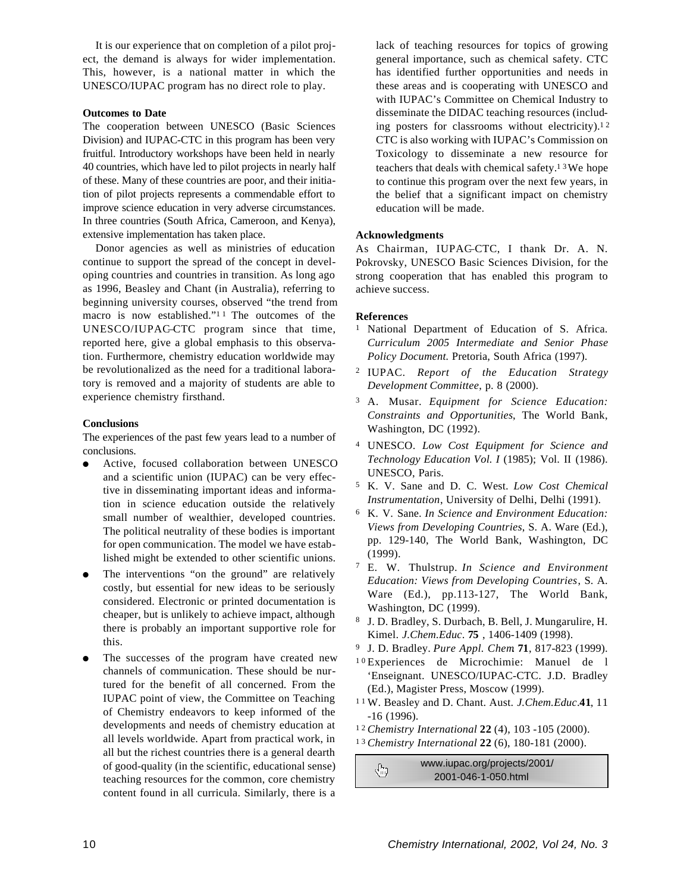It is our experience that on completion of a pilot project, the demand is always for wider implementation. This, however, is a national matter in which the UNESCO/IUPAC program has no direct role to play.

## **Outcomes to Date**

The cooperation between UNESCO (Basic Sciences Division) and IUPAC-CTC in this program has been very fruitful. Introductory workshops have been held in nearly 40 countries, which have led to pilot projects in nearly half of these. Many of these countries are poor, and their initiation of pilot projects represents a commendable effort to improve science education in very adverse circumstances. In three countries (South Africa, Cameroon, and Kenya), extensive implementation has taken place.

Donor agencies as well as ministries of education continue to support the spread of the concept in developing countries and countries in transition. As long ago as 1996, Beasley and Chant (in Australia), referring to beginning university courses, observed "the trend from macro is now established."<sup>11</sup> The outcomes of the UNESCO/IUPAC–CTC program since that time, reported here, give a global emphasis to this observation. Furthermore, chemistry education worldwide may be revolutionalized as the need for a traditional laboratory is removed and a majority of students are able to experience chemistry firsthand.

# **Conclusions**

The experiences of the past few years lead to a number of conclusions.

- <sup>l</sup> Active, focused collaboration between UNESCO and a scientific union (IUPAC) can be very effective in disseminating important ideas and information in science education outside the relatively small number of wealthier, developed countries. The political neutrality of these bodies is important for open communication. The model we have established might be extended to other scientific unions.
- The interventions "on the ground" are relatively costly, but essential for new ideas to be seriously considered. Electronic or printed documentation is cheaper, but is unlikely to achieve impact, although there is probably an important supportive role for this.
- The successes of the program have created new channels of communication. These should be nurtured for the benefit of all concerned. From the IUPAC point of view, the Committee on Teaching of Chemistry endeavors to keep informed of the developments and needs of chemistry education at all levels worldwide. Apart from practical work, in all but the richest countries there is a general dearth of good-quality (in the scientific, educational sense) teaching resources for the common, core chemistry content found in all curricula. Similarly, there is a

lack of teaching resources for topics of growing general importance, such as chemical safety. CTC has identified further opportunities and needs in these areas and is cooperating with UNESCO and with IUPAC's Committee on Chemical Industry to disseminate the DIDAC teaching resources (including posters for classrooms without electricity). 1 2 CTC is also working with IUPAC's Commission on Toxicology to disseminate a new resource for teachers that deals with chemical safety. 1 3We hope to continue this program over the next few years, in the belief that a significant impact on chemistry education will be made.

## **Acknowledgments**

As Chairman, IUPAC–CTC, I thank Dr. A. N. Pokrovsky, UNESCO Basic Sciences Division, for the strong cooperation that has enabled this program to achieve success.

## **References**

 $\mathbb{E}$ 

- <sup>1</sup> National Department of Education of S. Africa. *Curriculum 2005 Intermediate and Senior Phase Policy Document.* Pretoria, South Africa (1997).
- <sup>2</sup> IUPAC. *Report of the Education Strategy Development Committee*, p. 8 (2000).
- <sup>3</sup> A. Musar. *Equipment for Science Education: Constraints and Opportunities*, The World Bank, Washington, DC (1992).
- <sup>4</sup> UNESCO. *Low Cost Equipment for Science and Technology Education Vol. I* (1985); Vol. II (1986). UNESCO, Paris.
- <sup>5</sup> K. V. Sane and D. C. West. *Low Cost Chemical Instrumentation*, University of Delhi, Delhi (1991).
- <sup>6</sup> K. V. Sane. *In Science and Environment Education: Views from Developing Countries*, S. A. Ware (Ed.), pp. 129-140, The World Bank, Washington, DC (1999).
- <sup>7</sup> E. W. Thulstrup. *In Science and Environment Education: Views from Developing Countries*, S. A. Ware (Ed.), pp.113-127, The World Bank, Washington, DC (1999).
- <sup>8</sup> J. D. Bradley, S. Durbach, B. Bell, J. Mungarulire, H. Kimel. *J.Chem.Educ*. **75** , 1406-1409 (1998).
- <sup>9</sup> J. D. Bradley. *Pure Appl. Chem*. **71**, 817-823 (1999).
- 1 0 Experiences de Microchimie: Manuel de l 'Enseignant. UNESCO/IUPAC-CTC. J.D. Bradley (Ed.), Magister Press, Moscow (1999).
- 1 1 W. Beasley and D. Chant. Aust. *J.Chem.Educ*.**41**, 11 -16 (1996).
- 1 2 *Chemistry International* **22** (4), 103 -105 (2000).
- 1 3 *Chemistry International* **22** (6), 180-181 (2000).

www.iupac.org/projects/2001/ 2001-046-1-050.html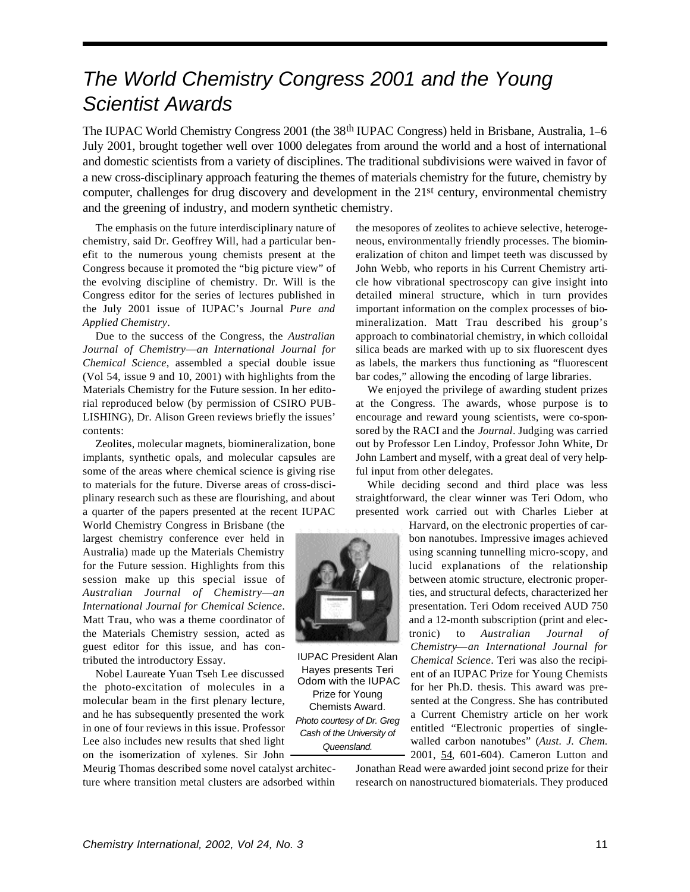# *The World Chemistry Congress 2001 and the Young Scientist Awards*

The IUPAC World Chemistry Congress 2001 (the 38<sup>th</sup> IUPAC Congress) held in Brisbane, Australia, 1-6 July 2001, brought together well over 1000 delegates from around the world and a host of international and domestic scientists from a variety of disciplines. The traditional subdivisions were waived in favor of a new cross-disciplinary approach featuring the themes of materials chemistry for the future, chemistry by computer, challenges for drug discovery and development in the 21<sup>st</sup> century, environmental chemistry and the greening of industry, and modern synthetic chemistry.

The emphasis on the future interdisciplinary nature of chemistry, said Dr. Geoffrey Will, had a particular benefit to the numerous young chemists present at the Congress because it promoted the "big picture view" of the evolving discipline of chemistry. Dr. Will is the Congress editor for the series of lectures published in the July 2001 issue of IUPAC's Journal *Pure and Applied Chemistry*.

Due to the success of the Congress, the *Australian Journal of Chemistry*—*an International Journal for Chemical Science*, assembled a special double issue (Vol 54, issue 9 and 10, 2001) with highlights from the Materials Chemistry for the Future session. In her editorial reproduced below (by permission of CSIRO PUB-LISHING), Dr. Alison Green reviews briefly the issues' contents:

Zeolites, molecular magnets, biomineralization, bone implants, synthetic opals, and molecular capsules are some of the areas where chemical science is giving rise to materials for the future. Diverse areas of cross-disciplinary research such as these are flourishing, and about a quarter of the papers presented at the recent IUPAC

World Chemistry Congress in Brisbane (the largest chemistry conference ever held in Australia) made up the Materials Chemistry for the Future session. Highlights from this session make up this special issue of *Australian Journal of Chemistry*—*an International Journal for Chemical Science*. Matt Trau, who was a theme coordinator of the Materials Chemistry session, acted as guest editor for this issue, and has contributed the introductory Essay.

Nobel Laureate Yuan Tseh Lee discussed the photo-excitation of molecules in a molecular beam in the first plenary lecture, and he has subsequently presented the work in one of four reviews in this issue. Professor Lee also includes new results that shed light on the isomerization of xylenes. Sir John

Meurig Thomas described some novel catalyst architecture where transition metal clusters are adsorbed within

the mesopores of zeolites to achieve selective, heterogeneous, environmentally friendly processes. The biomineralization of chiton and limpet teeth was discussed by John Webb, who reports in his Current Chemistry article how vibrational spectroscopy can give insight into detailed mineral structure, which in turn provides important information on the complex processes of biomineralization. Matt Trau described his group's approach to combinatorial chemistry, in which colloidal silica beads are marked with up to six fluorescent dyes as labels, the markers thus functioning as "fluorescent bar codes," allowing the encoding of large libraries.

We enjoyed the privilege of awarding student prizes at the Congress. The awards, whose purpose is to encourage and reward young scientists, were co-sponsored by the RACI and the *Journal*. Judging was carried out by Professor Len Lindoy, Professor John White, Dr John Lambert and myself, with a great deal of very helpful input from other delegates.

While deciding second and third place was less straightforward, the clear winner was Teri Odom, who presented work carried out with Charles Lieber at



IUPAC President Alan Hayes presents Teri Odom with the IUPAC Prize for Young Chemists Award. *Photo courtesy of Dr. Greg Cash of the University of Queensland.*

Harvard, on the electronic properties of carbon nanotubes. Impressive images achieved using scanning tunnelling micro-scopy, and lucid explanations of the relationship between atomic structure, electronic properties, and structural defects, characterized her presentation. Teri Odom received AUD 750 and a 12-month subscription (print and electronic) to *Australian Journal of Chemistry*—*an International Journal for Chemical Science*. Teri was also the recipient of an IUPAC Prize for Young Chemists for her Ph.D. thesis. This award was presented at the Congress. She has contributed a Current Chemistry article on her work entitled "Electronic properties of singlewalled carbon nanotubes" (*Aust. J. Chem.* 2001, 54, 601-604). Cameron Lutton and

Jonathan Read were awarded joint second prize for their research on nanostructured biomaterials. They produced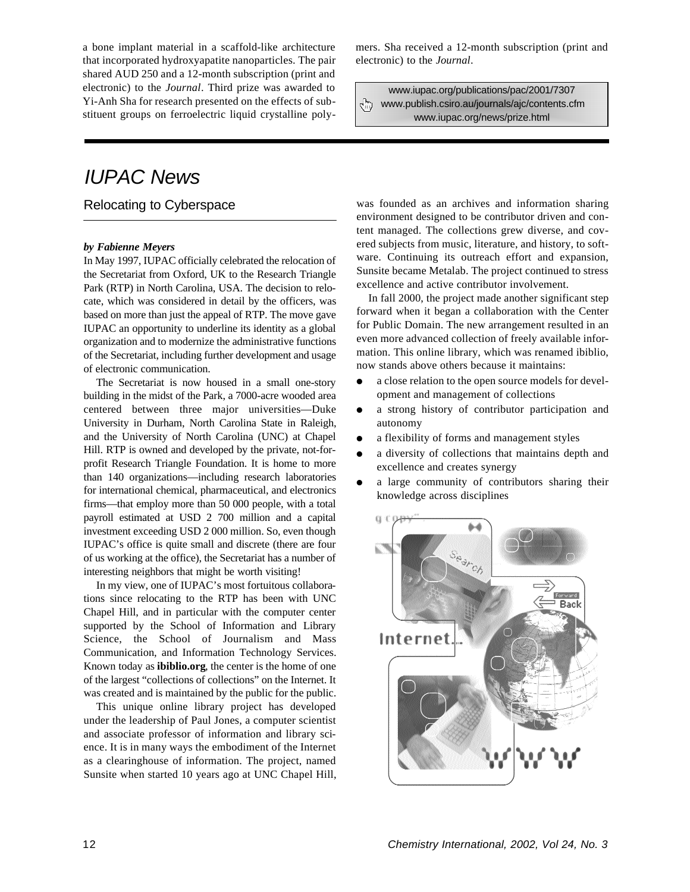a bone implant material in a scaffold-like architecture that incorporated hydroxyapatite nanoparticles. The pair shared AUD 250 and a 12-month subscription (print and electronic) to the *Journal*. Third prize was awarded to Yi-Anh Sha for research presented on the effects of substituent groups on ferroelectric liquid crystalline poly-

# *IUPAC News*

# Relocating to Cyberspace

# *by Fabienne Meyers*

In May 1997, IUPAC officially celebrated the relocation of the Secretariat from Oxford, UK to the Research Triangle Park (RTP) in North Carolina, USA. The decision to relocate, which was considered in detail by the officers, was based on more than just the appeal of RTP. The move gave IUPAC an opportunity to underline its identity as a global organization and to modernize the administrative functions of the Secretariat, including further development and usage of electronic communication.

The Secretariat is now housed in a small one-story building in the midst of the Park, a 7000-acre wooded area centered between three major universities—Duke University in Durham, North Carolina State in Raleigh, and the University of North Carolina (UNC) at Chapel Hill. RTP is owned and developed by the private, not-forprofit Research Triangle Foundation. It is home to more than 140 organizations—including research laboratories for international chemical, pharmaceutical, and electronics firms—that employ more than 50 000 people, with a total payroll estimated at USD 2 700 million and a capital investment exceeding USD 2 000 million. So, even though IUPAC's office is quite small and discrete (there are four of us working at the office), the Secretariat has a number of interesting neighbors that might be worth visiting!

In my view, one of IUPAC's most fortuitous collaborations since relocating to the RTP has been with UNC Chapel Hill, and in particular with the computer center supported by the School of Information and Library Science, the School of Journalism and Mass Communication, and Information Technology Services. Known today as **ibiblio.org**, the center is the home of one of the largest "collections of collections" on the Internet. It was created and is maintained by the public for the public.

This unique online library project has developed under the leadership of Paul Jones, a computer scientist and associate professor of information and library science. It is in many ways the embodiment of the Internet as a clearinghouse of information. The project, named Sunsite when started 10 years ago at UNC Chapel Hill, mers. Sha received a 12-month subscription (print and electronic) to the *Journal*.

www.iupac.org/publications/pac/2001/7307 www.publish.csiro.au/journals/ajc/contents.cfm www.iupac.org/news/prize.html

was founded as an archives and information sharing environment designed to be contributor driven and content managed. The collections grew diverse, and covered subjects from music, literature, and history, to software. Continuing its outreach effort and expansion, Sunsite became Metalab. The project continued to stress excellence and active contributor involvement.

In fall 2000, the project made another significant step forward when it began a collaboration with the Center for Public Domain. The new arrangement resulted in an even more advanced collection of freely available information. This online library, which was renamed ibiblio, now stands above others because it maintains:

- a close relation to the open source models for development and management of collections
- a strong history of contributor participation and autonomy
- a flexibility of forms and management styles
- a diversity of collections that maintains depth and excellence and creates synergy
- a large community of contributors sharing their knowledge across disciplines

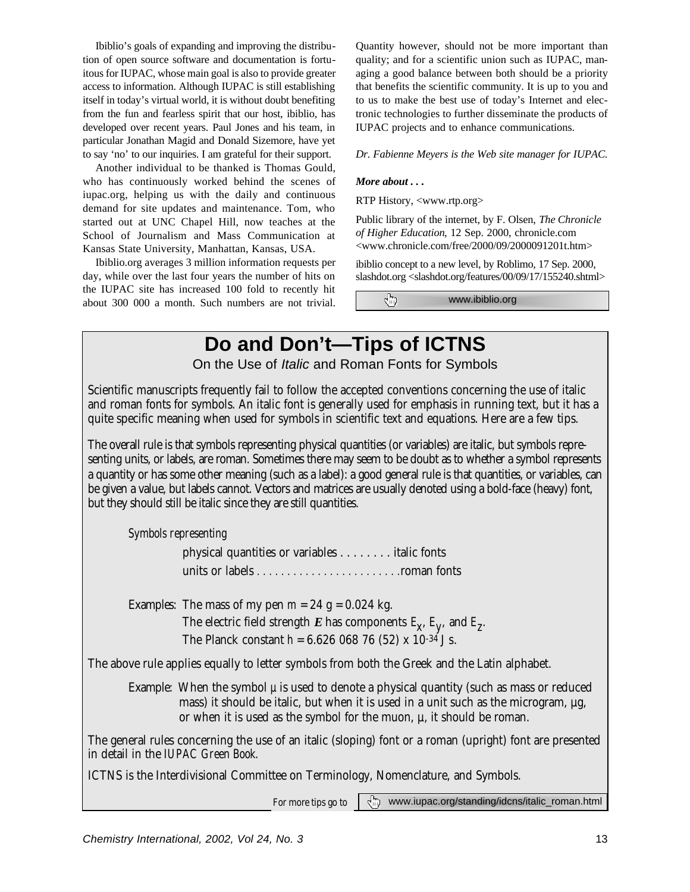Ibiblio's goals of expanding and improving the distribution of open source software and documentation is fortuitous for IUPAC, whose main goal is also to provide greater access to information. Although IUPAC is still establishing itself in today's virtual world, it is without doubt benefiting from the fun and fearless spirit that our host, ibiblio, has developed over recent years. Paul Jones and his team, in particular Jonathan Magid and Donald Sizemore, have yet to say 'no' to our inquiries. I am grateful for their support.

Another individual to be thanked is Thomas Gould, who has continuously worked behind the scenes of iupac.org, helping us with the daily and continuous demand for site updates and maintenance. Tom, who started out at UNC Chapel Hill, now teaches at the School of Journalism and Mass Communication at Kansas State University, Manhattan, Kansas, USA.

Ibiblio.org averages 3 million information requests per day, while over the last four years the number of hits on the IUPAC site has increased 100 fold to recently hit about 300 000 a month. Such numbers are not trivial.

Quantity however, should not be more important than quality; and for a scientific union such as IUPAC, managing a good balance between both should be a priority that benefits the scientific community. It is up to you and to us to make the best use of today's Internet and electronic technologies to further disseminate the products of IUPAC projects and to enhance communications.

*Dr. Fabienne Meyers is the Web site manager for IUPAC.*

# *More about . . .*

 $\mathbb{C}^n$ 

RTP History, <www.rtp.org>

Public library of the internet, by F. Olsen, *The Chronicle of Higher Education*, 12 Sep. 2000, chronicle.com <www.chronicle.com/free/2000/09/2000091201t.htm>

ibiblio concept to a new level, by Roblimo, 17 Sep. 2000, slashdot.org <slashdot.org/features/00/09/17/155240.shtml>

www.ibiblio.org

# **Do and Don't—Tips of ICTNS**

On the Use of *Italic* and Roman Fonts for Symbols

Scientific manuscripts frequently fail to follow the accepted conventions concerning the use of italic and roman fonts for symbols. An italic font is generally used for emphasis in running text, but it has a quite specific meaning when used for symbols in scientific text and equations. Here are a few tips.

The overall rule is that symbols representing physical quantities (or variables) are italic, but symbols representing units, or labels, are roman. Sometimes there may seem to be doubt as to whether a symbol represents a quantity or has some other meaning (such as a label): a good general rule is that quantities, or variables, can be given a value, but labels cannot. Vectors and matrices are usually denoted using a bold-face (heavy) font, but they should still be italic since they are still quantities.

*Symbols representing*

physical quantities or variables . . . . . . . . italic fonts units or labels . . . . . . . . . . . . . . . . . . . . . . . .roman fonts

Examples: The mass of my pen  $m = 24$  g = 0.024 kg.

The electric field strength  $\boldsymbol{E}$  has components  $E_{\mathbf{X}},\,E_{\mathbf{y}},\,$  and  $E_{\mathbf{Z}}$ The Planck constant  $h = 6.62606876(52) \times 10^{-34}$  J s.

The above rule applies equally to letter symbols from both the Greek and the Latin alphabet.

Example: When the symbol  $\mu$  is used to denote a physical quantity (such as mass or reduced mass) it should be italic, but when it is used in a unit such as the microgram, μg, or when it is used as the symbol for the muon,  $\mu$ , it should be roman.

The general rules concerning the use of an italic (sloping) font or a roman (upright) font are presented in detail in the *IUPAC Green Book*.

ICTNS is the Interdivisional Committee on Terminology, Nomenclature, and Symbols.

For more tips go to  $\|\cdot\|$  www.iupac.org/standing/idcns/italic\_roman.html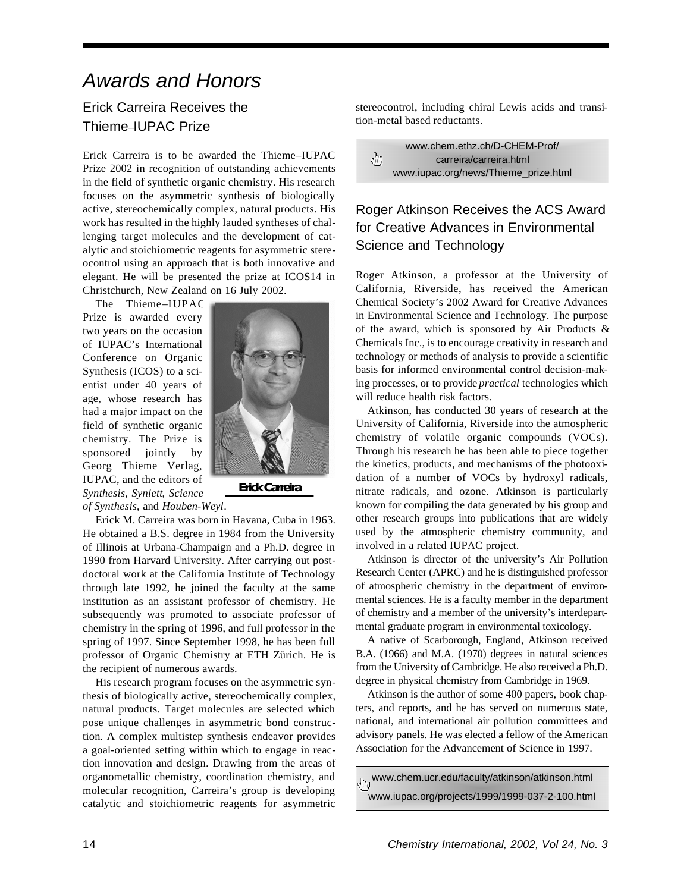# *Awards and Honors*

# Erick Carreira Receives the Thieme–IUPAC Prize

Erick Carreira is to be awarded the Thieme–IUPAC Prize 2002 in recognition of outstanding achievements in the field of synthetic organic chemistry. His research focuses on the asymmetric synthesis of biologically active, stereochemically complex, natural products. His work has resulted in the highly lauded syntheses of challenging target molecules and the development of catalytic and stoichiometric reagents for asymmetric stereocontrol using an approach that is both innovative and elegant. He will be presented the prize at ICOS14 in Christchurch, New Zealand on 16 July 2002.

The Thieme–IUPAC Prize is awarded every two years on the occasion of IUPAC's International Conference on Organic Synthesis (ICOS) to a scientist under 40 years of age, whose research has had a major impact on the field of synthetic organic chemistry. The Prize is sponsored jointly by Georg Thieme Verlag, IUPAC, and the editors of *Synthesis*, *Synlett*, *Science*



**Erick Carreira**

*of Synthesis*, and *Houben-Weyl*.

Erick M. Carreira was born in Havana, Cuba in 1963. He obtained a B.S. degree in 1984 from the University of Illinois at Urbana-Champaign and a Ph.D. degree in 1990 from Harvard University. After carrying out postdoctoral work at the California Institute of Technology through late 1992, he joined the faculty at the same institution as an assistant professor of chemistry. He subsequently was promoted to associate professor of chemistry in the spring of 1996, and full professor in the spring of 1997. Since September 1998, he has been full professor of Organic Chemistry at ETH Zürich. He is the recipient of numerous awards.

His research program focuses on the asymmetric synthesis of biologically active, stereochemically complex, natural products. Target molecules are selected which pose unique challenges in asymmetric bond construction. A complex multistep synthesis endeavor provides a goal-oriented setting within which to engage in reaction innovation and design. Drawing from the areas of organometallic chemistry, coordination chemistry, and molecular recognition, Carreira's group is developing catalytic and stoichiometric reagents for asymmetric

stereocontrol, including chiral Lewis acids and transition-metal based reductants.

www.chem.ethz.ch/D-CHEM-Prof/ ੱਤ carreira/carreira.html www.iupac.org/news/Thieme\_prize.html

# Roger Atkinson Receives the ACS Award for Creative Advances in Environmental Science and Technology

Roger Atkinson, a professor at the University of California, Riverside, has received the American Chemical Society's 2002 Award for Creative Advances in Environmental Science and Technology. The purpose of the award, which is sponsored by Air Products & Chemicals Inc., is to encourage creativity in research and technology or methods of analysis to provide a scientific basis for informed environmental control decision-making processes, or to provide *practical* technologies which will reduce health risk factors.

Atkinson, has conducted 30 years of research at the University of California, Riverside into the atmospheric chemistry of volatile organic compounds (VOCs). Through his research he has been able to piece together the kinetics, products, and mechanisms of the photooxidation of a number of VOCs by hydroxyl radicals, nitrate radicals, and ozone. Atkinson is particularly known for compiling the data generated by his group and other research groups into publications that are widely used by the atmospheric chemistry community, and involved in a related IUPAC project.

Atkinson is director of the university's Air Pollution Research Center (APRC) and he is distinguished professor of atmospheric chemistry in the department of environmental sciences. He is a faculty member in the department of chemistry and a member of the university's interdepartmental graduate program in environmental toxicology.

A native of Scarborough, England, Atkinson received B.A. (1966) and M.A. (1970) degrees in natural sciences from the University of Cambridge. He also received a Ph.D. degree in physical chemistry from Cambridge in 1969.

Atkinson is the author of some 400 papers, book chapters, and reports, and he has served on numerous state, national, and international air pollution committees and advisory panels. He was elected a fellow of the American Association for the Advancement of Science in 1997.

www.chem.ucr.edu/faculty/atkinson/atkinson.html www.iupac.org/projects/1999/1999-037-2-100.html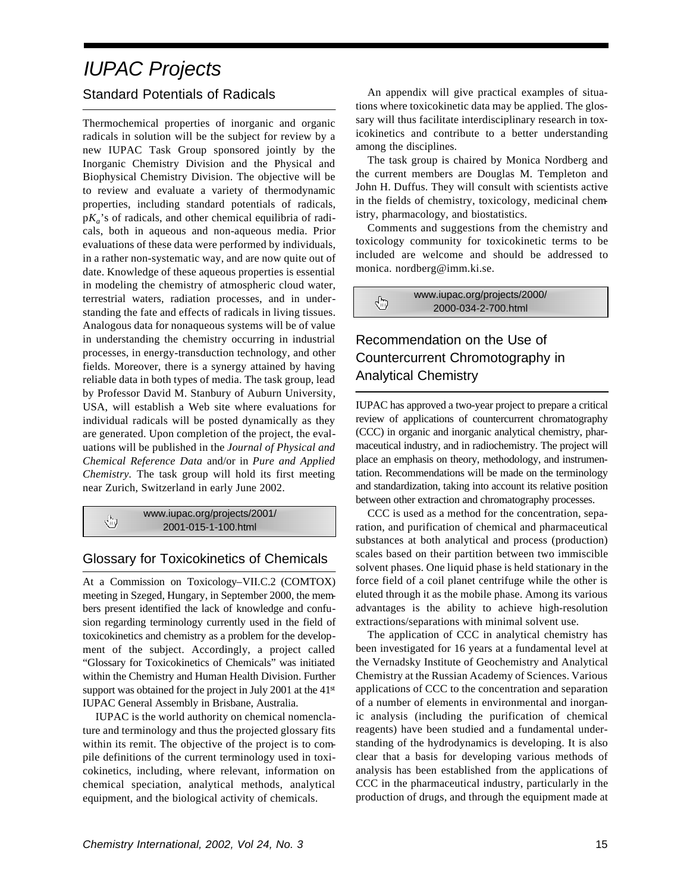# *IUPAC Projects*

# Standard Potentials of Radicals

Thermochemical properties of inorganic and organic radicals in solution will be the subject for review by a new IUPAC Task Group sponsored jointly by the Inorganic Chemistry Division and the Physical and Biophysical Chemistry Division. The objective will be to review and evaluate a variety of thermodynamic properties, including standard potentials of radicals, p*K<sup>a</sup>* 's of radicals, and other chemical equilibria of radicals, both in aqueous and non-aqueous media. Prior evaluations of these data were performed by individuals, in a rather non-systematic way, and are now quite out of date. Knowledge of these aqueous properties is essential in modeling the chemistry of atmospheric cloud water, terrestrial waters, radiation processes, and in understanding the fate and effects of radicals in living tissues. Analogous data for nonaqueous systems will be of value in understanding the chemistry occurring in industrial processes, in energy-transduction technology, and other fields. Moreover, there is a synergy attained by having reliable data in both types of media. The task group, lead by Professor David M. Stanbury of Auburn University, USA, will establish a Web site where evaluations for individual radicals will be posted dynamically as they are generated. Upon completion of the project, the evaluations will be published in the *Journal of Physical and Chemical Reference Data* and/or in *Pure and Applied Chemistry.* The task group will hold its first meeting near Zurich, Switzerland in early June 2002.

#### www.iupac.org/projects/2001/  $\mathbb{C}^{\mathbb{N}}_{\mathbb{Z}}$ 2001-015-1-100.html

# Glossary for Toxicokinetics of Chemicals

At a Commission on Toxicology–VII.C.2 (COMTOX) meeting in Szeged, Hungary, in September 2000, the members present identified the lack of knowledge and confusion regarding terminology currently used in the field of toxicokinetics and chemistry as a problem for the development of the subject. Accordingly, a project called "Glossary for Toxicokinetics of Chemicals" was initiated within the Chemistry and Human Health Division. Further support was obtained for the project in July 2001 at the 41<sup>st</sup> IUPAC General Assembly in Brisbane, Australia.

IUPAC is the world authority on chemical nomenclature and terminology and thus the projected glossary fits within its remit. The objective of the project is to compile definitions of the current terminology used in toxicokinetics, including, where relevant, information on chemical speciation, analytical methods, analytical equipment, and the biological activity of chemicals.

An appendix will give practical examples of situations where toxicokinetic data may be applied. The glossary will thus facilitate interdisciplinary research in toxicokinetics and contribute to a better understanding among the disciplines.

The task group is chaired by Monica Nordberg and the current members are Douglas M. Templeton and John H. Duffus. They will consult with scientists active in the fields of chemistry, toxicology, medicinal chemistry, pharmacology, and biostatistics.

Comments and suggestions from the chemistry and toxicology community for toxicokinetic terms to be included are welcome and should be addressed to monica. nordberg@imm.ki.se.

> www.iupac.org/projects/2000/ 2000-034-2-700.html

# Recommendation on the Use of Countercurrent Chromotography in Analytical Chemistry

 $\mathbb{C}^{\mathbb{N}}$ 

IUPAC has approved a two-year project to prepare a critical review of applications of countercurrent chromatography (CCC) in organic and inorganic analytical chemistry, pharmaceutical industry, and in radiochemistry. The project will place an emphasis on theory, methodology, and instrumentation. Recommendations will be made on the terminology and standardization, taking into account its relative position between other extraction and chromatography processes.

CCC is used as a method for the concentration, separation, and purification of chemical and pharmaceutical substances at both analytical and process (production) scales based on their partition between two immiscible solvent phases. One liquid phase is held stationary in the force field of a coil planet centrifuge while the other is eluted through it as the mobile phase. Among its various advantages is the ability to achieve high-resolution extractions/separations with minimal solvent use.

The application of CCC in analytical chemistry has been investigated for 16 years at a fundamental level at the Vernadsky Institute of Geochemistry and Analytical Chemistry at the Russian Academy of Sciences. Various applications of CCC to the concentration and separation of a number of elements in environmental and inorganic analysis (including the purification of chemical reagents) have been studied and a fundamental understanding of the hydrodynamics is developing. It is also clear that a basis for developing various methods of analysis has been established from the applications of CCC in the pharmaceutical industry, particularly in the production of drugs, and through the equipment made at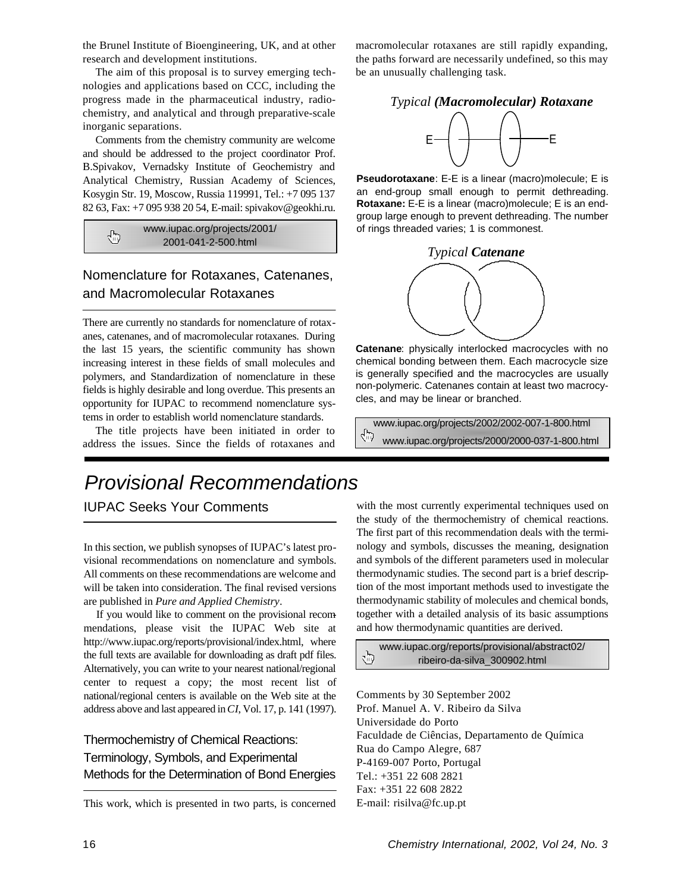the Brunel Institute of Bioengineering, UK, and at other research and development institutions.

The aim of this proposal is to survey emerging technologies and applications based on CCC, including the progress made in the pharmaceutical industry, radiochemistry, and analytical and through preparative-scale inorganic separations.

Comments from the chemistry community are welcome and should be addressed to the project coordinator Prof. B.Spivakov, Vernadsky Institute of Geochemistry and Analytical Chemistry, Russian Academy of Sciences, Kosygin Str. 19, Moscow, Russia 119991, Tel.: +7 095 137 82 63, Fax: +7 095 938 20 54, E-mail: spivakov@geokhi.ru.

www.iupac.org/projects/2001/ ੱ 2001-041-2-500.html

# Nomenclature for Rotaxanes, Catenanes, and Macromolecular Rotaxanes

There are currently no standards for nomenclature of rotaxanes, catenanes, and of macromolecular rotaxanes. During the last 15 years, the scientific community has shown increasing interest in these fields of small molecules and polymers, and Standardization of nomenclature in these fields is highly desirable and long overdue. This presents an opportunity for IUPAC to recommend nomenclature systems in order to establish world nomenclature standards.

The title projects have been initiated in order to address the issues. Since the fields of rotaxanes and

# *Provisional Recommendations*

IUPAC Seeks Your Comments

In this section, we publish synopses of IUPAC's latest provisional recommendations on nomenclature and symbols. All comments on these recommendations are welcome and will be taken into consideration. The final revised versions are published in *Pure and Applied Chemistry*.

If you would like to comment on the provisional recommendations, please visit the IUPAC Web site at http://www.iupac.org/reports/provisional/index.html, where the full texts are available for downloading as draft pdf files. Alternatively, you can write to your nearest national/regional center to request a copy; the most recent list of national/regional centers is available on the Web site at the address above and last appeared in*CI*, Vol. 17, p. 141 (1997).

# Thermochemistry of Chemical Reactions: Terminology, Symbols, and Experimental Methods for the Determination of Bond Energies

This work, which is presented in two parts, is concerned

macromolecular rotaxanes are still rapidly expanding, the paths forward are necessarily undefined, so this may be an unusually challenging task.

# *Typical (Macromolecular) Rotaxane* E E

**Pseudorotaxane**: E-E is a linear (macro)molecule; E is an end-group small enough to permit dethreading. **Rotaxane:** E-E is a linear (macro)molecule; E is an endgroup large enough to prevent dethreading. The number of rings threaded varies; 1 is commonest.



community has shown **Catenane**: physically interlocked macrocycles with no chemical bonding between them. Each macrocycle size is generally specified and the macrocycles are usually non-polymeric. Catenanes contain at least two macrocycles, and may be linear or branched.

> www.iupac.org/projects/2002/2002-007-1-800.html **CD** www.iupac.org/projects/2000/2000-037-1-800.html

with the most currently experimental techniques used on the study of the thermochemistry of chemical reactions. The first part of this recommendation deals with the terminology and symbols, discusses the meaning, designation and symbols of the different parameters used in molecular thermodynamic studies. The second part is a brief description of the most important methods used to investigate the thermodynamic stability of molecules and chemical bonds, together with a detailed analysis of its basic assumptions and how thermodynamic quantities are derived.

www.iupac.org/reports/provisional/abstract02/ 西 ribeiro-da-silva\_300902.html

Comments by 30 September 2002 Prof. Manuel A. V. Ribeiro da Silva Universidade do Porto Faculdade de Ciências, Departamento de Química Rua do Campo Alegre, 687 P-4169-007 Porto, Portugal Tel.: +351 22 608 2821 Fax: +351 22 608 2822 E-mail: risilva@fc.up.pt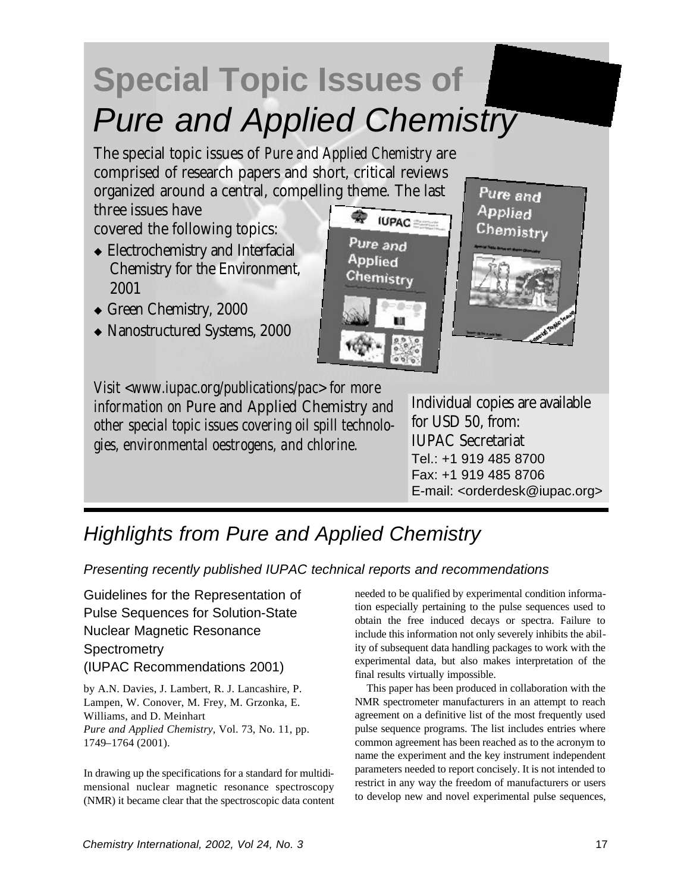# **Special Topic Issues of** *Pure and Applied Chemistry*

The special topic issues of *Pure and Applied Chemistry* are comprised of research papers and short, critical reviews organized around a central, compelling theme. The last

three issues have

covered the following topics:

- $\triangle$  Electrochemistry and Interfacial Chemistry for the Environment, 2001
- $\triangle$  Green Chemistry, 2000
- Nanostructured Systems, 2000





*Visit <www.iupac.org/publications/pac> for more information on* Pure and Applied Chemistry *and other special topic issues covering oil spill technologies, environmental oestrogens, and chlorine.*

Individual copies are available for USD 50, from: IUPAC Secretariat Tel.: +1 919 485 8700 Fax: +1 919 485 8706 E-mail: <orderdesk@iupac.org>

# *Highlights from Pure and Applied Chemistry*

*Presenting recently published IUPAC technical reports and recommendations*

Guidelines for the Representation of Pulse Sequences for Solution-State Nuclear Magnetic Resonance **Spectrometry** (IUPAC Recommendations 2001)

by A.N. Davies, J. Lambert, R. J. Lancashire, P. Lampen, W. Conover, M. Frey, M. Grzonka, E. Williams, and D. Meinhart *Pure and Applied Chemistry,* Vol. 73, No. 11, pp. 1749–1764 (2001).

In drawing up the specifications for a standard for multidimensional nuclear magnetic resonance spectroscopy (NMR) it became clear that the spectroscopic data content needed to be qualified by experimental condition information especially pertaining to the pulse sequences used to obtain the free induced decays or spectra. Failure to include this information not only severely inhibits the ability of subsequent data handling packages to work with the experimental data, but also makes interpretation of the final results virtually impossible.

This paper has been produced in collaboration with the NMR spectrometer manufacturers in an attempt to reach agreement on a definitive list of the most frequently used pulse sequence programs. The list includes entries where common agreement has been reached as to the acronym to name the experiment and the key instrument independent parameters needed to report concisely. It is not intended to restrict in any way the freedom of manufacturers or users to develop new and novel experimental pulse sequences,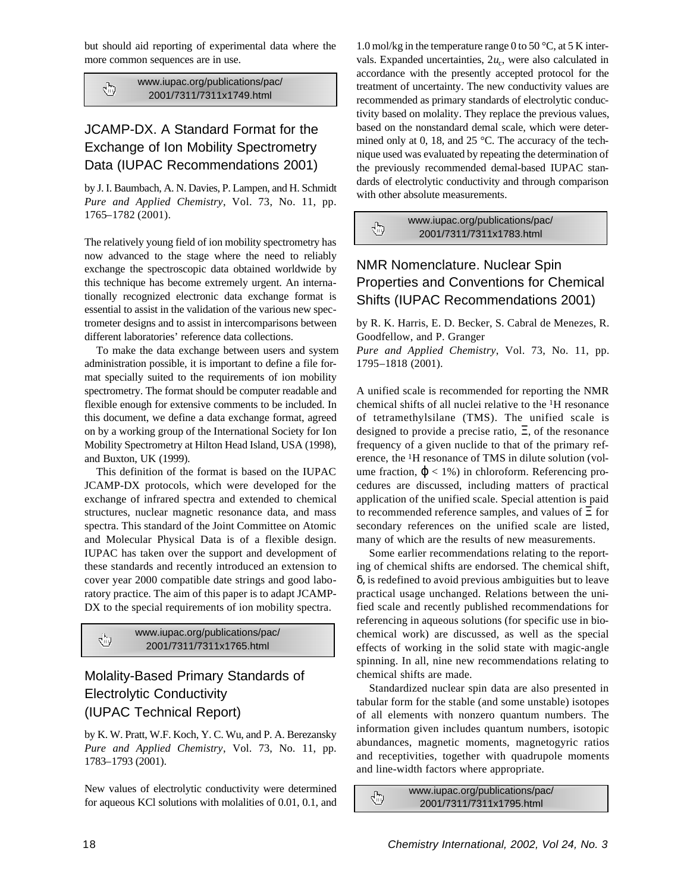but should aid reporting of experimental data where the more common sequences are in use.

www.iupac.org/publications/pac/  $\mathbb{G}$ 2001/7311/7311x1749.html

# JCAMP-DX. A Standard Format for the Exchange of Ion Mobility Spectrometry Data (IUPAC Recommendations 2001)

by J. I. Baumbach, A. N. Davies, P. Lampen, and H. Schmidt *Pure and Applied Chemistry*, Vol. 73, No. 11, pp. 1765–1782 (2001).

The relatively young field of ion mobility spectrometry has now advanced to the stage where the need to reliably exchange the spectroscopic data obtained worldwide by this technique has become extremely urgent. An internationally recognized electronic data exchange format is essential to assist in the validation of the various new spectrometer designs and to assist in intercomparisons between different laboratories' reference data collections.

To make the data exchange between users and system administration possible, it is important to define a file format specially suited to the requirements of ion mobility spectrometry. The format should be computer readable and flexible enough for extensive comments to be included. In this document, we define a data exchange format, agreed on by a working group of the International Society for Ion Mobility Spectrometry at Hilton Head Island, USA (1998), and Buxton, UK (1999).

This definition of the format is based on the IUPAC JCAMP-DX protocols, which were developed for the exchange of infrared spectra and extended to chemical structures, nuclear magnetic resonance data, and mass spectra. This standard of the Joint Committee on Atomic and Molecular Physical Data is of a flexible design. IUPAC has taken over the support and development of these standards and recently introduced an extension to cover year 2000 compatible date strings and good laboratory practice. The aim of this paper is to adapt JCAMP-DX to the special requirements of ion mobility spectra.

www.iupac.org/publications/pac/ ‴ੇ 2001/7311/7311x1765.html

# Molality-Based Primary Standards of Electrolytic Conductivity (IUPAC Technical Report)

by K. W. Pratt, W.F. Koch, Y. C. Wu, and P. A. Berezansky *Pure and Applied Chemistry*, Vol. 73, No. 11, pp. 1783–1793 (2001).

New values of electrolytic conductivity were determined for aqueous KCl solutions with molalities of 0.01, 0.1, and 1.0 mol/kg in the temperature range 0 to 50 °C, at 5 K intervals. Expanded uncertainties,  $2u_c$ , were also calculated in accordance with the presently accepted protocol for the treatment of uncertainty. The new conductivity values are recommended as primary standards of electrolytic conductivity based on molality. They replace the previous values, based on the nonstandard demal scale, which were determined only at 0, 18, and 25 °C. The accuracy of the technique used was evaluated by repeating the determination of the previously recommended demal-based IUPAC standards of electrolytic conductivity and through comparison with other absolute measurements.

## www.iupac.org/publications/pac/ 2001/7311/7311x1783.html

 $\mathbb{C}^2$ 

# NMR Nomenclature. Nuclear Spin Properties and Conventions for Chemical Shifts (IUPAC Recommendations 2001)

by R. K. Harris, E. D. Becker, S. Cabral de Menezes, R. Goodfellow, and P. Granger

*Pure and Applied Chemistry*, Vol. 73, No. 11, pp. 1795–1818 (2001).

A unified scale is recommended for reporting the NMR chemical shifts of all nuclei relative to the <sup>1</sup>H resonance of tetramethylsilane (TMS). The unified scale is designed to provide a precise ratio,  $\boldsymbol{X}$ , of the resonance frequency of a given nuclide to that of the primary reference, the <sup>1</sup>H resonance of TMS in dilute solution (volume fraction,  $\mathbf{j}$  < 1%) in chloroform. Referencing procedures are discussed, including matters of practical application of the unified scale. Special attention is paid to recommended reference samples, and values of *X* for secondary references on the unified scale are listed, many of which are the results of new measurements.

Some earlier recommendations relating to the reporting of chemical shifts are endorsed. The chemical shift, δ, is redefined to avoid previous ambiguities but to leave practical usage unchanged. Relations between the unified scale and recently published recommendations for referencing in aqueous solutions (for specific use in biochemical work) are discussed, as well as the special effects of working in the solid state with magic-angle spinning. In all, nine new recommendations relating to chemical shifts are made.

Standardized nuclear spin data are also presented in tabular form for the stable (and some unstable) isotopes of all elements with nonzero quantum numbers. The information given includes quantum numbers, isotopic abundances, magnetic moments, magnetogyric ratios and receptivities, together with quadrupole moments and line-width factors where appropriate.

> www.iupac.org/publications/pac/ 2001/7311/7311x1795.html

 $\mathbb{C}^1$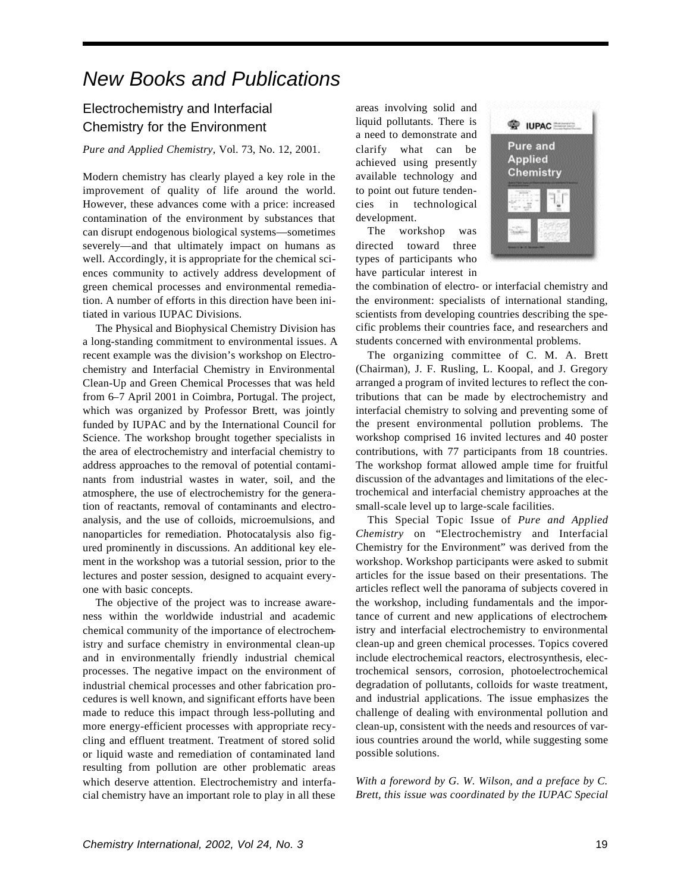# *New Books and Publications*

# Electrochemistry and Interfacial Chemistry for the Environment

*Pure and Applied Chemistry*, Vol. 73, No. 12, 2001.

Modern chemistry has clearly played a key role in the improvement of quality of life around the world. However, these advances come with a price: increased contamination of the environment by substances that can disrupt endogenous biological systems—sometimes severely—and that ultimately impact on humans as well. Accordingly, it is appropriate for the chemical sciences community to actively address development of green chemical processes and environmental remediation. A number of efforts in this direction have been initiated in various IUPAC Divisions.

The Physical and Biophysical Chemistry Division has a long-standing commitment to environmental issues. A recent example was the division's workshop on Electrochemistry and Interfacial Chemistry in Environmental Clean-Up and Green Chemical Processes that was held from 6–7 April 2001 in Coimbra, Portugal. The project, which was organized by Professor Brett, was jointly funded by IUPAC and by the International Council for Science. The workshop brought together specialists in the area of electrochemistry and interfacial chemistry to address approaches to the removal of potential contaminants from industrial wastes in water, soil, and the atmosphere, the use of electrochemistry for the generation of reactants, removal of contaminants and electroanalysis, and the use of colloids, microemulsions, and nanoparticles for remediation. Photocatalysis also figured prominently in discussions. An additional key element in the workshop was a tutorial session, prior to the lectures and poster session, designed to acquaint everyone with basic concepts.

The objective of the project was to increase awareness within the worldwide industrial and academic chemical community of the importance of electrochemistry and surface chemistry in environmental clean-up and in environmentally friendly industrial chemical processes. The negative impact on the environment of industrial chemical processes and other fabrication procedures is well known, and significant efforts have been made to reduce this impact through less-polluting and more energy-efficient processes with appropriate recycling and effluent treatment. Treatment of stored solid or liquid waste and remediation of contaminated land resulting from pollution are other problematic areas which deserve attention. Electrochemistry and interfacial chemistry have an important role to play in all these

areas involving solid and liquid pollutants. There is a need to demonstrate and clarify what can be achieved using presently available technology and to point out future tendencies in technological development.

The workshop was directed toward three types of participants who have particular interest in



the combination of electro- or interfacial chemistry and the environment: specialists of international standing, scientists from developing countries describing the specific problems their countries face, and researchers and students concerned with environmental problems.

The organizing committee of C. M. A. Brett (Chairman), J. F. Rusling, L. Koopal, and J. Gregory arranged a program of invited lectures to reflect the contributions that can be made by electrochemistry and interfacial chemistry to solving and preventing some of the present environmental pollution problems. The workshop comprised 16 invited lectures and 40 poster contributions, with 77 participants from 18 countries. The workshop format allowed ample time for fruitful discussion of the advantages and limitations of the electrochemical and interfacial chemistry approaches at the small-scale level up to large-scale facilities.

This Special Topic Issue of *Pure and Applied Chemistry* on "Electrochemistry and Interfacial Chemistry for the Environment" was derived from the workshop. Workshop participants were asked to submit articles for the issue based on their presentations. The articles reflect well the panorama of subjects covered in the workshop, including fundamentals and the importance of current and new applications of electrochemistry and interfacial electrochemistry to environmental clean-up and green chemical processes. Topics covered include electrochemical reactors, electrosynthesis, electrochemical sensors, corrosion, photoelectrochemical degradation of pollutants, colloids for waste treatment, and industrial applications. The issue emphasizes the challenge of dealing with environmental pollution and clean-up, consistent with the needs and resources of various countries around the world, while suggesting some possible solutions.

*With a foreword by G. W. Wilson, and a preface by C. Brett, this issue was coordinated by the IUPAC Special*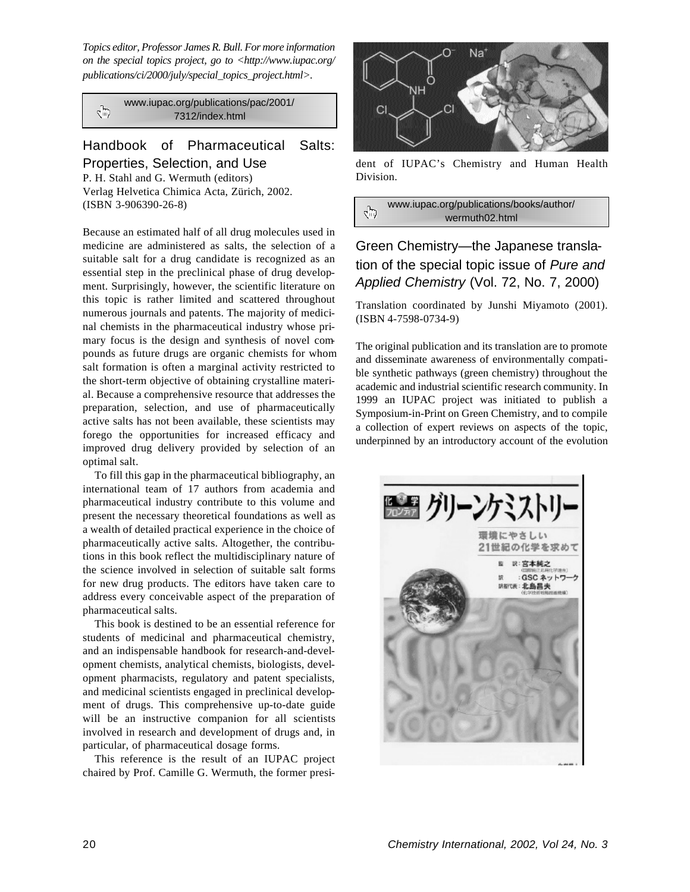*Topics editor, Professor James R. Bull. For more information on the special topics project, go to <http://www.iupac.org/ publications/ci/2000/july/special\_topics\_project.html>.*

www.iupac.org/publications/pac/2001/ र्जे 7312/index.html

# Handbook of Pharmaceutical Salts: Properties, Selection, and Use

P. H. Stahl and G. Wermuth (editors) Verlag Helvetica Chimica Acta, Zürich, 2002. (ISBN 3-906390-26-8)

Because an estimated half of all drug molecules used in medicine are administered as salts, the selection of a suitable salt for a drug candidate is recognized as an essential step in the preclinical phase of drug development. Surprisingly, however, the scientific literature on this topic is rather limited and scattered throughout numerous journals and patents. The majority of medicinal chemists in the pharmaceutical industry whose primary focus is the design and synthesis of novel compounds as future drugs are organic chemists for whom salt formation is often a marginal activity restricted to the short-term objective of obtaining crystalline material. Because a comprehensive resource that addresses the preparation, selection, and use of pharmaceutically active salts has not been available, these scientists may forego the opportunities for increased efficacy and improved drug delivery provided by selection of an optimal salt.

To fill this gap in the pharmaceutical bibliography, an international team of 17 authors from academia and pharmaceutical industry contribute to this volume and present the necessary theoretical foundations as well as a wealth of detailed practical experience in the choice of pharmaceutically active salts. Altogether, the contributions in this book reflect the multidisciplinary nature of the science involved in selection of suitable salt forms for new drug products. The editors have taken care to address every conceivable aspect of the preparation of pharmaceutical salts.

This book is destined to be an essential reference for students of medicinal and pharmaceutical chemistry, and an indispensable handbook for research-and-development chemists, analytical chemists, biologists, development pharmacists, regulatory and patent specialists, and medicinal scientists engaged in preclinical development of drugs. This comprehensive up-to-date guide will be an instructive companion for all scientists involved in research and development of drugs and, in particular, of pharmaceutical dosage forms.

This reference is the result of an IUPAC project chaired by Prof. Camille G. Wermuth, the former presi-



dent of IUPAC's Chemistry and Human Health Division.

www.iupac.org/publications/books/author/ <u>رس</u> wermuth02.html

Green Chemistry—the Japanese translation of the special topic issue of *Pure and Applied Chemistry* (Vol. 72, No. 7, 2000)

Translation coordinated by Junshi Miyamoto (2001). (ISBN 4-7598-0734-9)

The original publication and its translation are to promote and disseminate awareness of environmentally compatible synthetic pathways (green chemistry) throughout the academic and industrial scientific research community. In 1999 an IUPAC project was initiated to publish a Symposium-in-Print on Green Chemistry, and to compile a collection of expert reviews on aspects of the topic, underpinned by an introductory account of the evolution

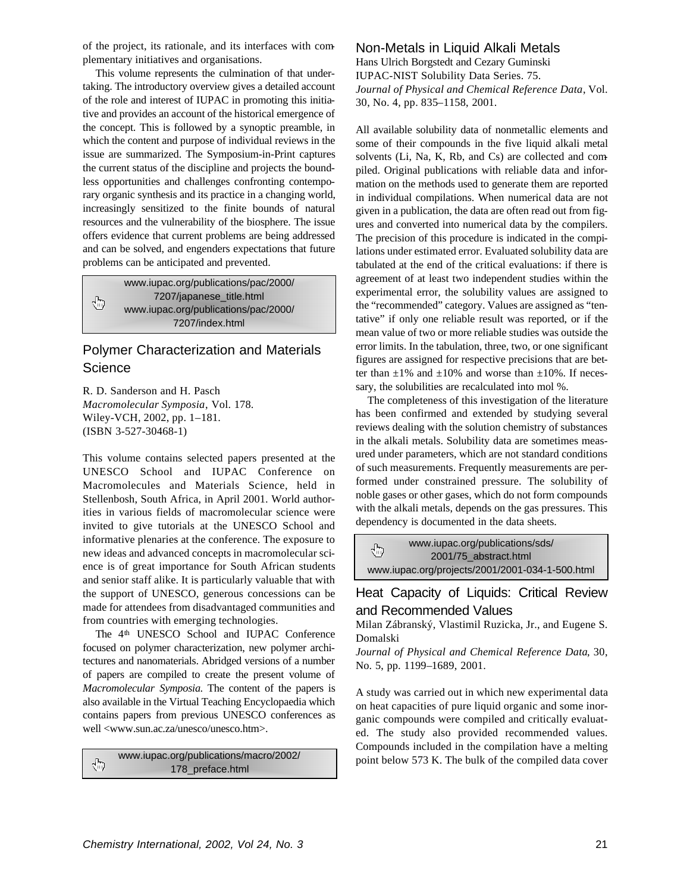of the project, its rationale, and its interfaces with complementary initiatives and organisations.

This volume represents the culmination of that undertaking. The introductory overview gives a detailed account of the role and interest of IUPAC in promoting this initiative and provides an account of the historical emergence of the concept. This is followed by a synoptic preamble, in which the content and purpose of individual reviews in the issue are summarized. The Symposium-in-Print captures the current status of the discipline and projects the boundless opportunities and challenges confronting contemporary organic synthesis and its practice in a changing world, increasingly sensitized to the finite bounds of natural resources and the vulnerability of the biosphere. The issue offers evidence that current problems are being addressed and can be solved, and engenders expectations that future problems can be anticipated and prevented.

www.iupac.org/publications/pac/2000/ 7207/japanese\_title.html  $\mathbb{C}^1$ www.iupac.org/publications/pac/2000/ 7207/index.html

# Polymer Characterization and Materials **Science**

R. D. Sanderson and H. Pasch *Macromolecular Symposia*, Vol. 178. Wiley-VCH, 2002, pp. 1–181. (ISBN 3-527-30468-1)

This volume contains selected papers presented at the UNESCO School and IUPAC Conference on Macromolecules and Materials Science, held in Stellenbosh, South Africa, in April 2001. World authorities in various fields of macromolecular science were invited to give tutorials at the UNESCO School and informative plenaries at the conference. The exposure to new ideas and advanced concepts in macromolecular science is of great importance for South African students and senior staff alike. It is particularly valuable that with the support of UNESCO, generous concessions can be made for attendees from disadvantaged communities and from countries with emerging technologies.

The 4<sup>th</sup> UNESCO School and IUPAC Conference focused on polymer characterization, new polymer architectures and nanomaterials. Abridged versions of a number of papers are compiled to create the present volume of *Macromolecular Symposia*. The content of the papers is also available in the Virtual Teaching Encyclopaedia which contains papers from previous UNESCO conferences as well <www.sun.ac.za/unesco/unesco.htm>.

www.iupac.org/publications/macro/2002/ ੱਹ 178\_preface.html

# Non-Metals in Liquid Alkali Metals

Hans Ulrich Borgstedt and Cezary Guminski IUPAC-NIST Solubility Data Series. 75. *Journal of Physical and Chemical Reference Data*, Vol. 30, No. 4, pp. 835–1158, 2001.

All available solubility data of nonmetallic elements and some of their compounds in the five liquid alkali metal solvents (Li, Na, K, Rb, and Cs) are collected and compiled. Original publications with reliable data and information on the methods used to generate them are reported in individual compilations. When numerical data are not given in a publication, the data are often read out from figures and converted into numerical data by the compilers. The precision of this procedure is indicated in the compilations under estimated error. Evaluated solubility data are tabulated at the end of the critical evaluations: if there is agreement of at least two independent studies within the experimental error, the solubility values are assigned to the "recommended" category. Values are assigned as "tentative" if only one reliable result was reported, or if the mean value of two or more reliable studies was outside the error limits. In the tabulation, three, two, or one significant figures are assigned for respective precisions that are better than  $\pm 1\%$  and  $\pm 10\%$  and worse than  $\pm 10\%$ . If necessary, the solubilities are recalculated into mol %.

The completeness of this investigation of the literature has been confirmed and extended by studying several reviews dealing with the solution chemistry of substances in the alkali metals. Solubility data are sometimes measured under parameters, which are not standard conditions of such measurements. Frequently measurements are performed under constrained pressure. The solubility of noble gases or other gases, which do not form compounds with the alkali metals, depends on the gas pressures. This dependency is documented in the data sheets.

| रोज़ | www.iupac.org/publications/sds/                 |
|------|-------------------------------------------------|
|      | 2001/75 abstract.html                           |
|      | www.iupac.org/projects/2001/2001-034-1-500.html |

# Heat Capacity of Liquids: Critical Review and Recommended Values

Milan Zábranský, Vlastimil Ruzicka, Jr., and Eugene S. Domalski

*Journal of Physical and Chemical Reference Data*, 30, No. 5, pp. 1199–1689, 2001.

A study was carried out in which new experimental data on heat capacities of pure liquid organic and some inorganic compounds were compiled and critically evaluated. The study also provided recommended values. Compounds included in the compilation have a melting point below 573 K. The bulk of the compiled data cover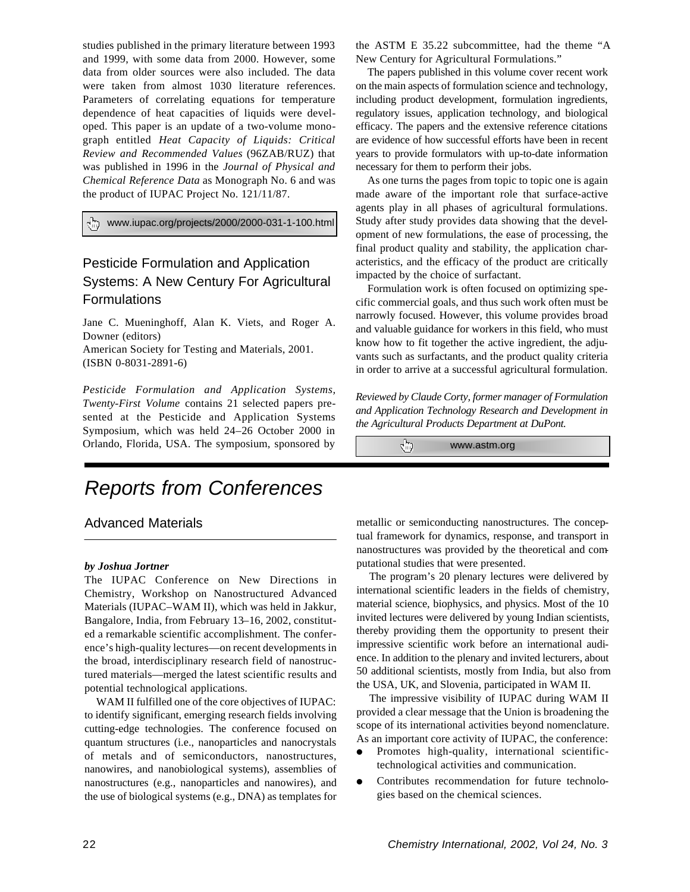studies published in the primary literature between 1993 and 1999, with some data from 2000. However, some data from older sources were also included. The data were taken from almost 1030 literature references. Parameters of correlating equations for temperature dependence of heat capacities of liquids were developed. This paper is an update of a two-volume monograph entitled *Heat Capacity of Liquids: Critical Review and Recommended Values* (96ZAB/RUZ) that was published in 1996 in the *Journal of Physical and Chemical Reference Data* as Monograph No. 6 and was the product of IUPAC Project No. 121/11/87.

www.iupac.org/projects/2000/2000-031-1-100.html

# Pesticide Formulation and Application Systems: A New Century For Agricultural Formulations

Jane C. Mueninghoff, Alan K. Viets, and Roger A. Downer (editors) American Society for Testing and Materials, 2001. (ISBN 0-8031-2891-6)

*Pesticide Formulation and Application Systems, Twenty-First Volume* contains 21 selected papers presented at the Pesticide and Application Systems Symposium, which was held 24–26 October 2000 in Orlando, Florida, USA. The symposium, sponsored by

# *Reports from Conferences*

# Advanced Materials

#### *by Joshua Jortner*

The IUPAC Conference on New Directions in Chemistry, Workshop on Nanostructured Advanced Materials (IUPAC–WAM II), which was held in Jakkur, Bangalore, India, from February 13–16, 2002, constituted a remarkable scientific accomplishment. The conference's high-quality lectures—on recent developments in the broad, interdisciplinary research field of nanostructured materials—merged the latest scientific results and potential technological applications.

WAM II fulfilled one of the core objectives of IUPAC: to identify significant, emerging research fields involving cutting-edge technologies. The conference focused on quantum structures (i.e., nanoparticles and nanocrystals of metals and of semiconductors, nanostructures, nanowires, and nanobiological systems), assemblies of nanostructures (e.g., nanoparticles and nanowires), and the use of biological systems (e.g., DNA) as templates for the ASTM E 35.22 subcommittee, had the theme "A New Century for Agricultural Formulations."

The papers published in this volume cover recent work on the main aspects of formulation science and technology, including product development, formulation ingredients, regulatory issues, application technology, and biological efficacy. The papers and the extensive reference citations are evidence of how successful efforts have been in recent years to provide formulators with up-to-date information necessary for them to perform their jobs.

As one turns the pages from topic to topic one is again made aware of the important role that surface-active agents play in all phases of agricultural formulations. Study after study provides data showing that the development of new formulations, the ease of processing, the final product quality and stability, the application characteristics, and the efficacy of the product are critically impacted by the choice of surfactant.

Formulation work is often focused on optimizing specific commercial goals, and thus such work often must be narrowly focused. However, this volume provides broad and valuable guidance for workers in this field, who must know how to fit together the active ingredient, the adjuvants such as surfactants, and the product quality criteria in order to arrive at a successful agricultural formulation.

*Reviewed by Claude Corty, former manager of Formulation and Application Technology Research and Development in the Agricultural Products Department at DuPont.*

www.astm.org

 $\overline{\mathbb{C}}$ 

metallic or semiconducting nanostructures. The conceptual framework for dynamics, response, and transport in nanostructures was provided by the theoretical and computational studies that were presented.

The program's 20 plenary lectures were delivered by international scientific leaders in the fields of chemistry, material science, biophysics, and physics. Most of the 10 invited lectures were delivered by young Indian scientists, thereby providing them the opportunity to present their impressive scientific work before an international audience. In addition to the plenary and invited lecturers, about 50 additional scientists, mostly from India, but also from the USA, UK, and Slovenia, participated in WAM II.

The impressive visibility of IUPAC during WAM II provided a clear message that the Union is broadening the scope of its international activities beyond nomenclature. As an important core activity of IUPAC, the conference:

- Promotes high-quality, international scientifictechnological activities and communication.
- Contributes recommendation for future technologies based on the chemical sciences.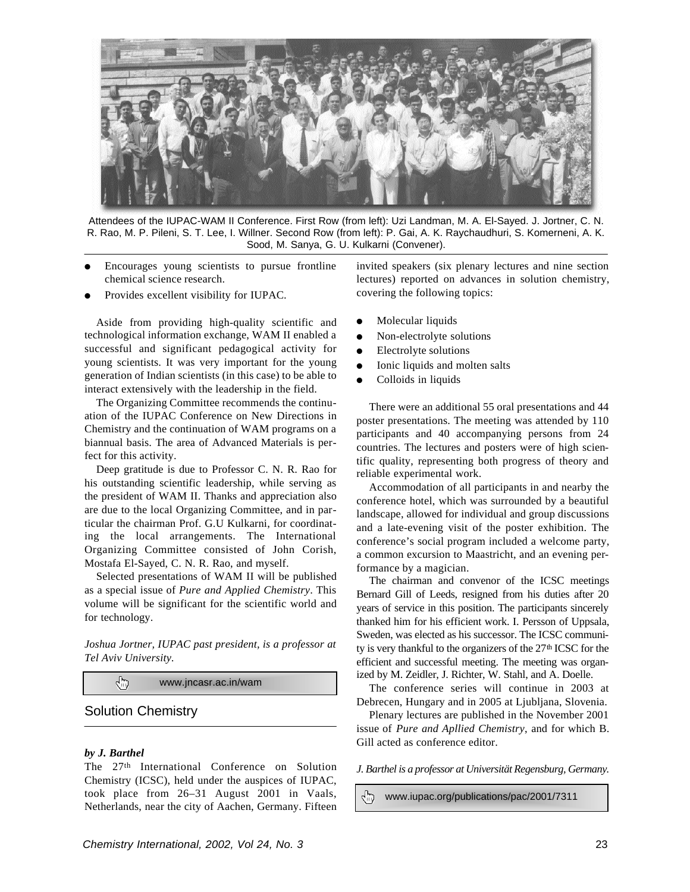

Attendees of the IUPAC-WAM II Conference. First Row (from left): Uzi Landman, M. A. El-Sayed. J. Jortner, C. N. R. Rao, M. P. Pileni, S. T. Lee, I. Willner. Second Row (from left): P. Gai, A. K. Raychaudhuri, S. Komerneni, A. K. Sood, M. Sanya, G. U. Kulkarni (Convener).

- <sup>l</sup> Encourages young scientists to pursue frontline chemical science research.
- Provides excellent visibility for IUPAC.

Aside from providing high-quality scientific and technological information exchange, WAM II enabled a successful and significant pedagogical activity for young scientists. It was very important for the young generation of Indian scientists (in this case) to be able to interact extensively with the leadership in the field.

The Organizing Committee recommends the continuation of the IUPAC Conference on New Directions in Chemistry and the continuation of WAM programs on a biannual basis. The area of Advanced Materials is perfect for this activity.

Deep gratitude is due to Professor C. N. R. Rao for his outstanding scientific leadership, while serving as the president of WAM II. Thanks and appreciation also are due to the local Organizing Committee, and in particular the chairman Prof. G.U Kulkarni, for coordinating the local arrangements. The International Organizing Committee consisted of John Corish, Mostafa El-Sayed, C. N. R. Rao, and myself.

Selected presentations of WAM II will be published as a special issue of *Pure and Applied Chemistry*. This volume will be significant for the scientific world and for technology.

*Joshua Jortner, IUPAC past president, is a professor at Tel Aviv University.*

> $\mathbb{C}$ www.jncasr.ac.in/wam

# Solution Chemistry

#### *by J. Barthel*

The 27th International Conference on Solution Chemistry (ICSC), held under the auspices of IUPAC, took place from 26–31 August 2001 in Vaals, Netherlands, near the city of Aachen, Germany. Fifteen invited speakers (six plenary lectures and nine section lectures) reported on advances in solution chemistry, covering the following topics:

- Molecular liquids
- Non-electrolyte solutions
- $\bullet$  Electrolyte solutions
- <sup>l</sup> Ionic liquids and molten salts
- Colloids in liquids

There were an additional 55 oral presentations and 44 poster presentations. The meeting was attended by 110 participants and 40 accompanying persons from 24 countries. The lectures and posters were of high scientific quality, representing both progress of theory and reliable experimental work.

Accommodation of all participants in and nearby the conference hotel, which was surrounded by a beautiful landscape, allowed for individual and group discussions and a late-evening visit of the poster exhibition. The conference's social program included a welcome party, a common excursion to Maastricht, and an evening performance by a magician.

The chairman and convenor of the ICSC meetings Bernard Gill of Leeds, resigned from his duties after 20 years of service in this position. The participants sincerely thanked him for his efficient work. I. Persson of Uppsala, Sweden, was elected as his successor. The ICSC community is very thankful to the organizers of the  $27<sup>th</sup> ICSC$  for the efficient and successful meeting. The meeting was organized by M. Zeidler, J. Richter, W. Stahl, and A. Doelle.

The conference series will continue in 2003 at Debrecen, Hungary and in 2005 at Ljubljana, Slovenia.

Plenary lectures are published in the November 2001 issue of *Pure and Apllied Chemistry*, and for which B. Gill acted as conference editor.

*J. Barthel is a professor at Universität Regensburg, Germany.*

www.iupac.org/publications/pac/2001/7311 (;;;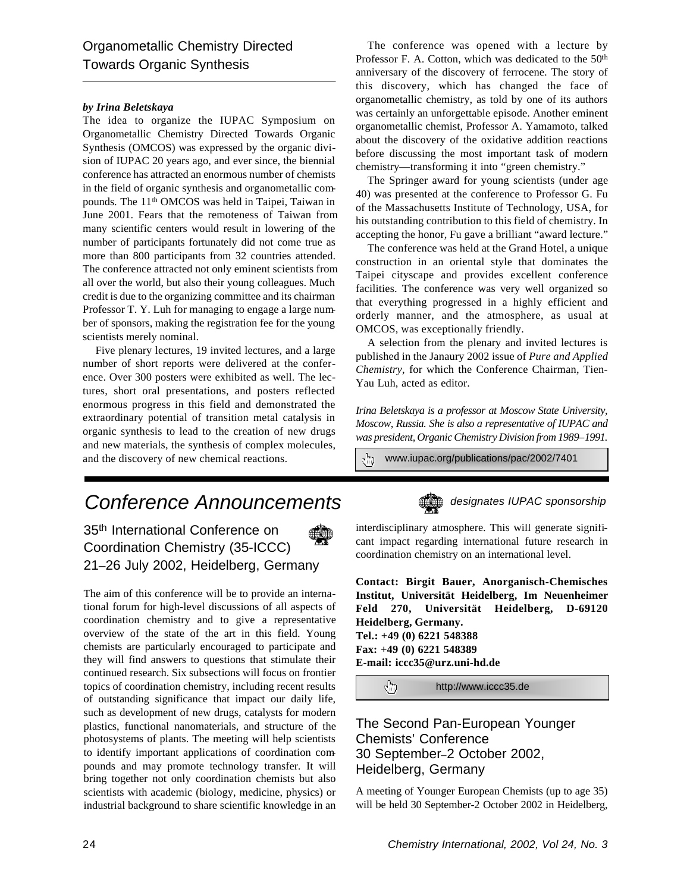# *by Irina Beletskaya*

The idea to organize the IUPAC Symposium on Organometallic Chemistry Directed Towards Organic Synthesis (OMCOS) was expressed by the organic division of IUPAC 20 years ago, and ever since, the biennial conference has attracted an enormous number of chemists in the field of organic synthesis and organometallic compounds. The 11<sup>th</sup> OMCOS was held in Taipei, Taiwan in June 2001. Fears that the remoteness of Taiwan from many scientific centers would result in lowering of the number of participants fortunately did not come true as more than 800 participants from 32 countries attended. The conference attracted not only eminent scientists from all over the world, but also their young colleagues. Much credit is due to the organizing committee and its chairman Professor T. Y. Luh for managing to engage a large number of sponsors, making the registration fee for the young scientists merely nominal.

Five plenary lectures, 19 invited lectures, and a large number of short reports were delivered at the conference. Over 300 posters were exhibited as well. The lectures, short oral presentations, and posters reflected enormous progress in this field and demonstrated the extraordinary potential of transition metal catalysis in organic synthesis to lead to the creation of new drugs and new materials, the synthesis of complex molecules, and the discovery of new chemical reactions.

The conference was opened with a lecture by Professor F. A. Cotton, which was dedicated to the 50th anniversary of the discovery of ferrocene. The story of this discovery, which has changed the face of organometallic chemistry, as told by one of its authors was certainly an unforgettable episode. Another eminent organometallic chemist, Professor A. Yamamoto, talked about the discovery of the oxidative addition reactions before discussing the most important task of modern chemistry—transforming it into "green chemistry."

The Springer award for young scientists (under age 40) was presented at the conference to Professor G. Fu of the Massachusetts Institute of Technology, USA, for his outstanding contribution to this field of chemistry. In accepting the honor, Fu gave a brilliant "award lecture."

The conference was held at the Grand Hotel, a unique construction in an oriental style that dominates the Taipei cityscape and provides excellent conference facilities. The conference was very well organized so that everything progressed in a highly efficient and orderly manner, and the atmosphere, as usual at OMCOS, was exceptionally friendly.

A selection from the plenary and invited lectures is published in the Janaury 2002 issue of *Pure and Applied Chemistry*, for which the Conference Chairman, Tien-Yau Luh, acted as editor.

*Irina Beletskaya is a professor at Moscow State University, Moscow, Russia. She is also a representative of IUPAC and was president, Organic Chemistry Division from 1989*–*1991.*

रोज़ www.iupac.org/publications/pac/2002/7401

# *Conference Announcements designates IUPAC sponsorship*

35th International Conference on Coordination Chemistry (35-ICCC) 21–26 July 2002, Heidelberg, Germany

The aim of this conference will be to provide an international forum for high-level discussions of all aspects of coordination chemistry and to give a representative overview of the state of the art in this field. Young chemists are particularly encouraged to participate and they will find answers to questions that stimulate their continued research. Six subsections will focus on frontier topics of coordination chemistry, including recent results of outstanding significance that impact our daily life, such as development of new drugs, catalysts for modern plastics, functional nanomaterials, and structure of the photosystems of plants. The meeting will help scientists to identify important applications of coordination compounds and may promote technology transfer. It will bring together not only coordination chemists but also scientists with academic (biology, medicine, physics) or industrial background to share scientific knowledge in an



 $\mathbb{C}^1$ 

interdisciplinary atmosphere. This will generate significant impact regarding international future research in coordination chemistry on an international level.

**Contact: Birgit Bauer, Anorganisch-Chemisches Institut, Universität Heidelberg, Im Neuenheimer Feld 270, Universität Heidelberg, D-69120 Heidelberg, Germany. Tel.: +49 (0) 6221 548388 Fax: +49 (0) 6221 548389 E-mail: iccc35@urz.uni-hd.de**

http://www.iccc35.de

# The Second Pan-European Younger Chemists' Conference 30 September–2 October 2002, Heidelberg, Germany

A meeting of Younger European Chemists (up to age 35) will be held 30 September-2 October 2002 in Heidelberg,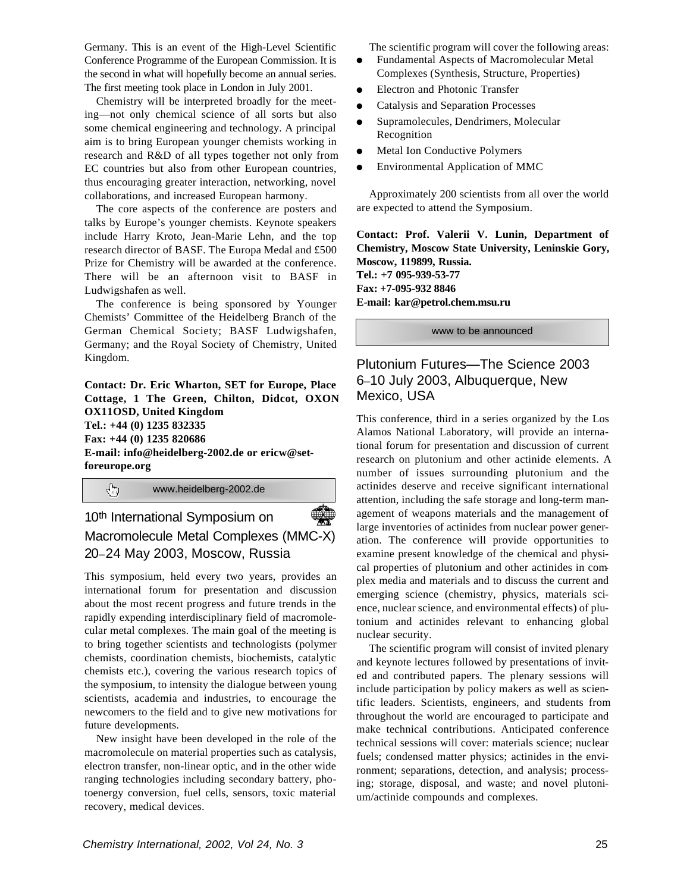Germany. This is an event of the High-Level Scientific Conference Programme of the European Commission. It is the second in what will hopefully become an annual series. The first meeting took place in London in July 2001.

Chemistry will be interpreted broadly for the meeting—not only chemical science of all sorts but also some chemical engineering and technology. A principal aim is to bring European younger chemists working in research and R&D of all types together not only from EC countries but also from other European countries, thus encouraging greater interaction, networking, novel collaborations, and increased European harmony.

The core aspects of the conference are posters and talks by Europe's younger chemists. Keynote speakers include Harry Kroto, Jean-Marie Lehn, and the top research director of BASF. The Europa Medal and £500 Prize for Chemistry will be awarded at the conference. There will be an afternoon visit to BASF in Ludwigshafen as well.

The conference is being sponsored by Younger Chemists' Committee of the Heidelberg Branch of the German Chemical Society; BASF Ludwigshafen, Germany; and the Royal Society of Chemistry, United Kingdom.

**Contact: Dr. Eric Wharton, SET for Europe, Place Cottage, 1 The Green, Chilton, Didcot, OXON OX11OSD, United Kingdom Tel.: +44 (0) 1235 832335 Fax: +44 (0) 1235 820686 E-mail: info@heidelberg-2002.de or ericw@setforeurope.org**

www.heidelberg-2002.de $\mathbb{C}$ 

10<sup>th</sup> International Symposium on Macromolecule Metal Complexes (MMC-X) 20–24 May 2003, Moscow, Russia

This symposium, held every two years, provides an international forum for presentation and discussion about the most recent progress and future trends in the rapidly expending interdisciplinary field of macromolecular metal complexes. The main goal of the meeting is to bring together scientists and technologists (polymer chemists, coordination chemists, biochemists, catalytic chemists etc.), covering the various research topics of the symposium, to intensity the dialogue between young scientists, academia and industries, to encourage the newcomers to the field and to give new motivations for future developments.

New insight have been developed in the role of the macromolecule on material properties such as catalysis, electron transfer, non-linear optic, and in the other wide ranging technologies including secondary battery, photoenergy conversion, fuel cells, sensors, toxic material recovery, medical devices.

The scientific program will cover the following areas:

- <sup>l</sup> Fundamental Aspects of Macromolecular Metal Complexes (Synthesis, Structure, Properties)
- Electron and Photonic Transfer
- Catalysis and Separation Processes
- Supramolecules, Dendrimers, Molecular Recognition
- Metal Ion Conductive Polymers
- <sup>l</sup> Environmental Application of MMC

Approximately 200 scientists from all over the world are expected to attend the Symposium.

**Contact: Prof. Valerii V. Lunin, Department of Chemistry, Moscow State University, Leninskie Gory, Moscow, 119899, Russia. Tel.: +7 095-939-53-77 Fax: +7-095-932 8846 E-mail: kar@petrol.chem.msu.ru**

www to be announced

# Plutonium Futures—The Science 2003 6–10 July 2003, Albuquerque, New Mexico, USA

This conference, third in a series organized by the Los Alamos National Laboratory, will provide an international forum for presentation and discussion of current research on plutonium and other actinide elements. A number of issues surrounding plutonium and the actinides deserve and receive significant international attention, including the safe storage and long-term management of weapons materials and the management of large inventories of actinides from nuclear power generation. The conference will provide opportunities to examine present knowledge of the chemical and physical properties of plutonium and other actinides in complex media and materials and to discuss the current and emerging science (chemistry, physics, materials science, nuclear science, and environmental effects) of plutonium and actinides relevant to enhancing global nuclear security.

The scientific program will consist of invited plenary and keynote lectures followed by presentations of invited and contributed papers. The plenary sessions will include participation by policy makers as well as scientific leaders. Scientists, engineers, and students from throughout the world are encouraged to participate and make technical contributions. Anticipated conference technical sessions will cover: materials science; nuclear fuels; condensed matter physics; actinides in the environment; separations, detection, and analysis; processing; storage, disposal, and waste; and novel plutonium/actinide compounds and complexes.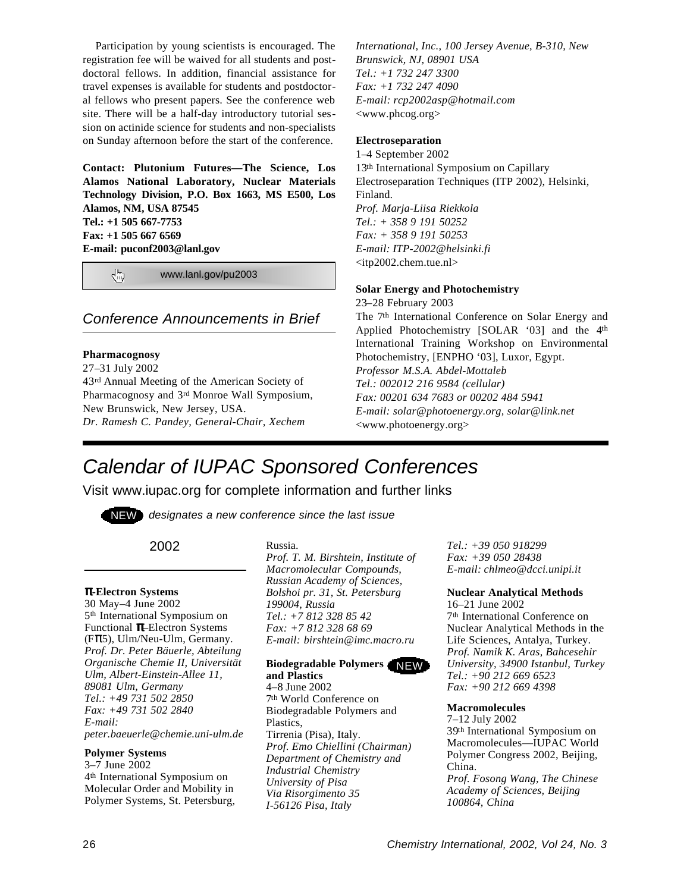Participation by young scientists is encouraged. The registration fee will be waived for all students and postdoctoral fellows. In addition, financial assistance for travel expenses is available for students and postdoctoral fellows who present papers. See the conference web site. There will be a half-day introductory tutorial session on actinide science for students and non-specialists on Sunday afternoon before the start of the conference.

**Contact: Plutonium Futures—The Science, Los Alamos National Laboratory, Nuclear Materials Technology Division, P.O. Box 1663, MS E500, Los Alamos, NM, USA 87545 Tel.: +1 505 667-7753 Fax: +1 505 667 6569 E-mail: puconf2003@lanl.gov**

> ্ট www.lanl.gov/pu2003

*Conference Announcements in Brief*

# **Pharmacognosy**

27–31 July 2002

43rd Annual Meeting of the American Society of Pharmacognosy and 3rd Monroe Wall Symposium, New Brunswick, New Jersey, USA. *Dr. Ramesh C. Pandey, General-Chair, Xechem*

*International, Inc., 100 Jersey Avenue, B-310, New Brunswick, NJ, 08901 USA Tel.: +1 732 247 3300 Fax: +1 732 247 4090 E-mail: rcp2002asp@hotmail.com* <www.phcog.org>

## **Electroseparation**

1–4 September 2002 13th International Symposium on Capillary Electroseparation Techniques (ITP 2002), Helsinki, Finland. *Prof. Marja-Liisa Riekkola Tel.: + 358 9 191 50252 Fax: + 358 9 191 50253 E-mail: ITP-2002@helsinki.fi*  $<$ itp2002.chem.tue.nl>

#### **Solar Energy and Photochemistry**

23–28 February 2003 The 7th International Conference on Solar Energy and Applied Photochemistry [SOLAR '03] and the 4th International Training Workshop on Environmental Photochemistry, [ENPHO '03], Luxor, Egypt. *Professor M.S.A. Abdel-Mottaleb Tel.: 002012 216 9584 (cellular) Fax: 00201 634 7683 or 00202 484 5941 E-mail: solar@photoenergy.org, solar@link.net* <www.photoenergy.org>

# *Calendar of IUPAC Sponsored Conferences*

Visit www.iupac.org for complete information and further links



NEW *designates a new conference since the last issue*

# **p-Electron Systems**

30 May–4 June 2002 5th International Symposium on Functional **p**–Electron Systems  $(F\pi 5)$ , Ulm/Neu-Ulm, Germany. *Prof. Dr. Peter Bäuerle, Abteilung Organische Chemie II, Universität Ulm, Albert-Einstein-Allee 11, 89081 Ulm, Germany Tel.: +49 731 502 2850 Fax: +49 731 502 2840 E-mail: peter.baeuerle@chemie.uni-ulm.de*

2002

#### **Polymer Systems**

3–7 June 2002 4th International Symposium on Molecular Order and Mobility in Polymer Systems, St. Petersburg, Russia. *Prof. T. M. Birshtein, Institute of Macromolecular Compounds, Russian Academy of Sciences, Bolshoi pr. 31, St. Petersburg 199004, Russia Tel.: +7 812 328 85 42 Fax: +7 812 328 68 69 E-mail: birshtein@imc.macro.ru*

# **Biodegradable Polymers** NEW

**and Plastics** 4–8 June 2002 7th World Conference on Biodegradable Polymers and Plastics, Tirrenia (Pisa), Italy. *Prof. Emo Chiellini (Chairman) Department of Chemistry and Industrial Chemistry University of Pisa Via Risorgimento 35 I-56126 Pisa, Italy*

*Tel.: +39 050 918299 Fax: +39 050 28438 E-mail: chlmeo@dcci.unipi.it*

# **Nuclear Analytical Methods**

16–21 June 2002 7th International Conference on Nuclear Analytical Methods in the Life Sciences, Antalya, Turkey. *Prof. Namik K. Aras, Bahcesehir University, 34900 Istanbul, Turkey Tel.: +90 212 669 6523 Fax: +90 212 669 4398*

## **Macromolecules**

7–12 July 2002 39th International Symposium on Macromolecules—IUPAC World Polymer Congress 2002, Beijing, China. *Prof. Fosong Wang, The Chinese Academy of Sciences, Beijing 100864, China*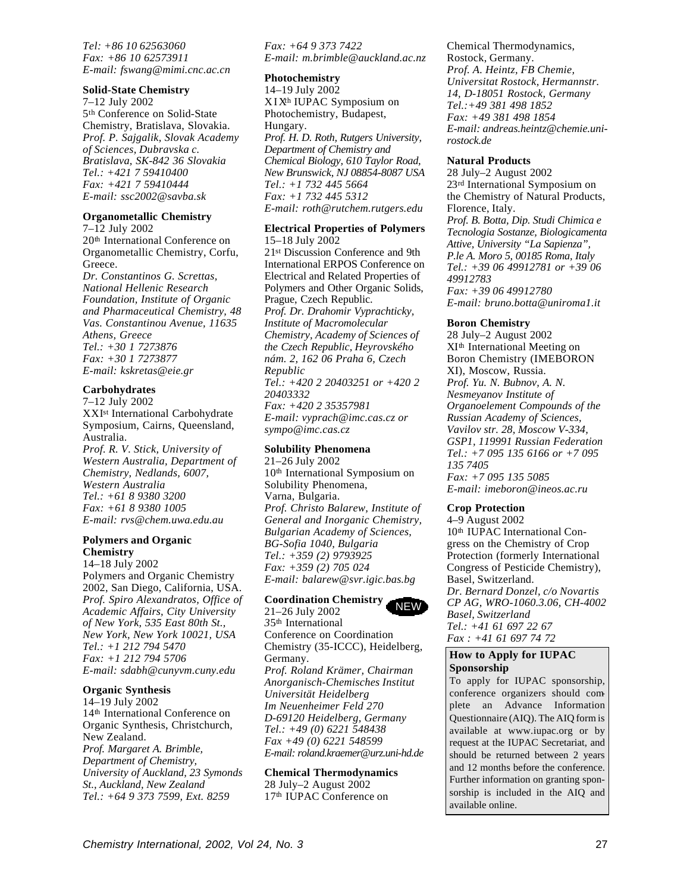*Tel: +86 10 62563060 Fax: +86 10 62573911 E-mail: fswang@mimi.cnc.ac.cn*

# **Solid-State Chemistry**

7–12 July 2002 5th Conference on Solid-State Chemistry, Bratislava, Slovakia. *Prof. P. Sajgalik, Slovak Academy of Sciences, Dubravska c. Bratislava, SK-842 36 Slovakia Tel.: +421 7 59410400 Fax: +421 7 59410444 E-mail: ssc2002@savba.sk*

#### **Organometallic Chemistry**

7–12 July 2002 20th International Conference on Organometallic Chemistry, Corfu, Greece. *Dr. Constantinos G. Screttas, National Hellenic Research Foundation, Institute of Organic and Pharmaceutical Chemistry, 48 Vas. Constantinou Avenue, 11635 Athens, Greece Tel.: +30 1 7273876 Fax: +30 1 7273877 E-mail: kskretas@eie.gr*

# **Carbohydrates**

7–12 July 2002 XXI st International Carbohydrate Symposium, Cairns, Queensland, Australia. *Prof. R. V. Stick, University of Western Australia, Department of Chemistry, Nedlands, 6007, Western Australia Tel.: +61 8 9380 3200 Fax: +61 8 9380 1005 E-mail: rvs@chem.uwa.edu.au*

#### **Polymers and Organic Chemistry**

14–18 July 2002 Polymers and Organic Chemistry 2002, San Diego, California, USA. *Prof. Spiro Alexandratos, Office of Academic Affairs, City University of New York, 535 East 80th St., New York, New York 10021, USA Tel.: +1 212 794 5470 Fax: +1 212 794 5706 E-mail: sdabh@cunyvm.cuny.edu*

## **Organic Synthesis**

14–19 July 2002 14th International Conference on Organic Synthesis, Christchurch, New Zealand. *Prof. Margaret A. Brimble, Department of Chemistry, University of Auckland, 23 Symonds St., Auckland, New Zealand Tel.: +64 9 373 7599, Ext. 8259*

*Fax: +64 9 373 7422 E-mail: m.brimble@auckland.ac.nz*

#### **Photochemistry**

14–19 July 2002 XIXth IUPAC Symposium on Photochemistry, Budapest, Hungary. *Prof. H. D. Roth, Rutgers University, Department of Chemistry and Chemical Biology, 610 Taylor Road, New Brunswick, NJ 08854-8087 USA Tel.: +1 732 445 5664 Fax: +1 732 445 5312 E-mail: roth@rutchem.rutgers.edu*

# **Electrical Properties of Polymers**

15–18 July 2002 21st Discussion Conference and 9th International ERPOS Conference on Electrical and Related Properties of Polymers and Other Organic Solids, Prague, Czech Republic. *Prof. Dr. Drahomir Vyprachticky, Institute of Macromolecular Chemistry, Academy of Sciences of the Czech Republic, Heyrovského nám. 2, 162 06 Praha 6, Czech Republic Tel.: +420 2 20403251 or +420 2 20403332 Fax: +420 2 35357981 E-mail: vyprach@imc.cas.cz or sympo@imc.cas.cz*

## **Solubility Phenomena**

21–26 July 2002 10th International Symposium on Solubility Phenomena, Varna, Bulgaria. *Prof. Christo Balarew, Institute of General and Inorganic Chemistry, Bulgarian Academy of Sciences, BG-Sofia 1040, Bulgaria Tel.: +359 (2) 9793925 Fax: +359 (2) 705 024 E-mail: balarew@svr.igic.bas.bg*

#### **Coordination Chemistry NEW**

21–26 July 2002 *3*5th International Conference on Coordination Chemistry (35-ICCC), Heidelberg, Germany. *Prof. Roland Krämer, Chairman Anorganisch-Chemisches Institut Universität Heidelberg Im Neuenheimer Feld 270 D-69120 Heidelberg, Germany Tel.: +49 (0) 6221 548438 Fax +49 (0) 6221 548599 E-mail: roland.kraemer@urz.uni-hd.de*

#### **Chemical Thermodynamics** 28 July–2 August 2002

17th IUPAC Conference on

Chemical Thermodynamics, Rostock, Germany. *Prof. A. Heintz, FB Chemie, Universitat Rostock, Hermannstr. 14, D-18051 Rostock, Germany Tel.:+49 381 498 1852 Fax: +49 381 498 1854 E-mail: andreas.heintz@chemie.unirostock.de*

#### **Natural Products**

28 July–2 August 2002 23rd International Symposium on the Chemistry of Natural Products, Florence, Italy. *Prof. B. Botta, Dip. Studi Chimica e Tecnologia Sostanze, Biologicamenta Attive, University "La Sapienza", P.le A. Moro 5, 00185 Roma, Italy Tel.: +39 06 49912781 or +39 06 49912783 Fax: +39 06 49912780 E-mail: bruno.botta@uniroma1.it*

#### **Boron Chemistry**

28 July–2 August 2002 XI th International Meeting on Boron Chemistry (IMEBORON XI), Moscow, Russia. *Prof. Yu. N. Bubnov, A. N. Nesmeyanov Institute of Organoelement Compounds of the Russian Academy of Sciences, Vavilov str. 28, Moscow V-334, GSP1, 119991 Russian Federation Tel.: +7 095 135 6166 or +7 095 135 7405 Fax: +7 095 135 5085 E-mail: imeboron@ineos.ac.ru*

## **Crop Protection**

4–9 August 2002 10<sup>th</sup> IUPAC International Congress on the Chemistry of Crop Protection (formerly International Congress of Pesticide Chemistry), Basel, Switzerland. *Dr. Bernard Donzel, c/o Novartis CP AG, WRO-1060.3.06, CH-4002 Basel, Switzerland Tel.: +41 61 697 22 67 Fax : +41 61 697 74 72*

## **How to Apply for IUPAC Sponsorship**

To apply for IUPAC sponsorship, conference organizers should complete an Advance Information Questionnaire (AIQ). The AIQ form is available at www.iupac.org or by request at the IUPAC Secretariat, and should be returned between 2 years and 12 months before the conference. Further information on granting sponsorship is included in the AIQ and available online.